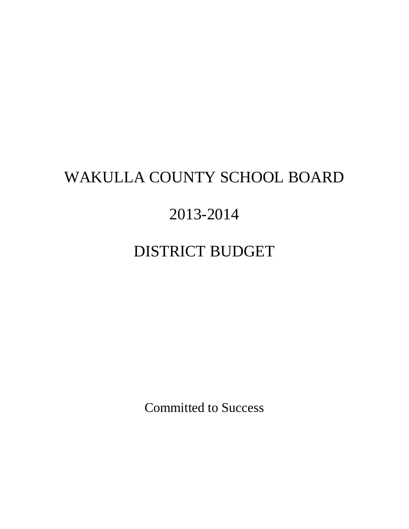# WAKULLA COUNTY SCHOOL BOARD

# 2013-2014

# DISTRICT BUDGET

Committed to Success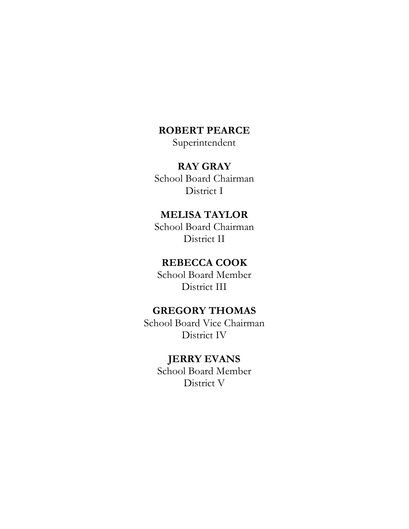# **ROBERT PEARCE**

Superintendent

# **RAY GRAY**

School Board Chairman District I

# **MELISA TAYLOR**

School Board Chairman District II

# **REBECCA COOK**

School Board Member District III

# **GREGORY THOMAS**

School Board Vice Chairman District IV

# **JERRY EVANS**

School Board Member District V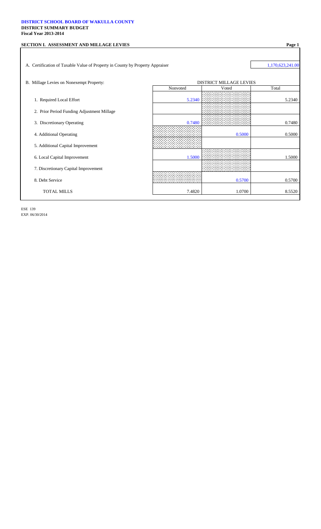#### **DISTRICT SCHOOL BOARD OF WAKULLA COUNTY DISTRICT SUMMARY BUDGET Fiscal Year 2013-2014**

| SECTION I. ASSESSMENT AND MILLAGE LEVIES                                      |          |                                | Page 1           |
|-------------------------------------------------------------------------------|----------|--------------------------------|------------------|
|                                                                               |          |                                |                  |
| A. Certification of Taxable Value of Property in County by Property Appraiser |          |                                | 1,170,623,241.00 |
|                                                                               |          |                                |                  |
| B. Millage Levies on Nonexempt Property:                                      |          | <b>DISTRICT MILLAGE LEVIES</b> |                  |
|                                                                               | Nonvoted | Voted                          | Total            |
| 1. Required Local Effort                                                      | 5.2340   |                                | 5.2340           |
| 2. Prior Period Funding Adjustment Millage                                    |          |                                |                  |
| 3. Discretionary Operating                                                    | 0.7480   |                                | 0.7480           |
| 4. Additional Operating                                                       |          | 0.5000                         | 0.5000           |
| 5. Additional Capital Improvement                                             |          |                                |                  |
| 6. Local Capital Improvement                                                  | 1.5000   |                                | 1.5000           |
| 7. Discretionary Capital Improvement                                          |          |                                |                  |
| 8. Debt Service                                                               |          | 0.5700                         | 0.5700           |
| <b>TOTAL MILLS</b>                                                            | 7.4820   | 1.0700                         | 8.5520           |
|                                                                               |          |                                |                  |

ESE 139 EXP. 06/30/2014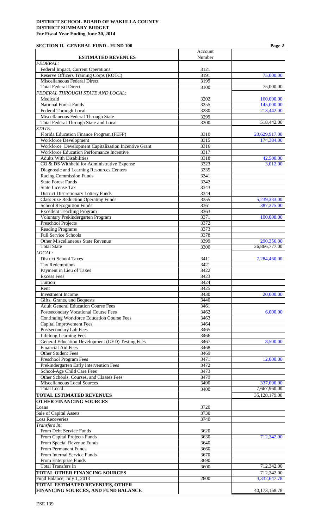# **SECTION II. GENERAL FUND - FUND 100 Page 2**

|                                                      |                  | 1 agu <i>4</i> |
|------------------------------------------------------|------------------|----------------|
|                                                      | Account          |                |
| <b>ESTIMATED REVENUES</b>                            | Number           |                |
| <b>FEDERAL:</b>                                      |                  |                |
| Federal Impact, Current Operations                   | 3121             |                |
| Reserve Officers Training Corps (ROTC)               | 3191             | 75,000.00      |
| Miscellaneous Federal Direct                         | 3199             |                |
| <b>Total Federal Direct</b>                          |                  | 75,000.00      |
|                                                      | 3100             |                |
| FEDERAL THROUGH STATE AND LOCAL:                     |                  |                |
| Medicaid                                             | 3202             | 160,000.00     |
| <b>National Forest Funds</b>                         | 3255             | 145,000.00     |
| <b>Federal Through Local</b>                         | 3280             | 213,442.00     |
| Miscellaneous Federal Through State                  | 3299             |                |
| <b>Total Federal Through State and Local</b>         | 3200             | 518,442.00     |
| STATE:                                               |                  |                |
|                                                      |                  |                |
| Florida Education Finance Program (FEFP)             | 3310             | 20,629,917.00  |
| <b>Workforce Development</b>                         | 3315             | 174,384.00     |
| Workforce Development Capitalization Incentive Grant | 3316             |                |
| Workforce Education Performance Incentive            | 3317             |                |
| <b>Adults With Disabilities</b>                      | 3318             | 42,500.00      |
| CO & DS Withheld for Administrative Expense          | 3323             | 3,012.00       |
| Diagnostic and Learning Resources Centers            | 3335             |                |
|                                                      |                  |                |
| <b>Racing Commission Funds</b>                       | 3341             |                |
| <b>State Forest Funds</b>                            | 3342             |                |
| <b>State License Tax</b>                             | 3343             |                |
| <b>District Discretionary Lottery Funds</b>          | 3344             |                |
| <b>Class Size Reduction Operating Funds</b>          | 3355             | 5,239,333.00   |
| <b>School Recognition Funds</b>                      | 3361             | 387,275.00     |
| <b>Excellent Teaching Program</b>                    | 3363             |                |
|                                                      |                  |                |
| Voluntary Prekindergarten Program                    | 3371             | 100,000.00     |
| <b>Preschool Projects</b>                            | 3372             |                |
| <b>Reading Programs</b>                              | 3373             |                |
| <b>Full Service Schools</b>                          | 3378             |                |
| Other Miscellaneous State Revenue                    | 3399             | 290,356.00     |
| <b>Total State</b>                                   | 3300             | 26,866,777.00  |
|                                                      |                  |                |
| LOCAL:                                               |                  |                |
| <b>District School Taxes</b>                         | 3411             | 7,284,460.00   |
| <b>Tax Redemptions</b>                               | 3421             |                |
| Payment in Lieu of Taxes                             | 3422             |                |
| <b>Excess Fees</b>                                   | $\frac{1}{3423}$ |                |
| Tuition                                              | 3424             |                |
|                                                      |                  |                |
| Rent                                                 | 3425             |                |
| <b>Investment Income</b>                             | 3430             | 20,000.00      |
| Gifts, Grants, and Bequests                          | 3440             |                |
| <b>Adult General Education Course Fees</b>           | 3461             |                |
| <b>Postsecondary Vocational Course Fees</b>          | 3462             | 6,000.00       |
| <b>Continuing Workforce Education Course Fees</b>    | 3463             |                |
| <b>Capital Improvement Fees</b>                      | 3464             |                |
|                                                      |                  |                |
| Postsecondary Lab Fees                               | 3465             |                |
| <b>Lifelong Learning Fees</b>                        | 3466             |                |
| General Education Development (GED) Testing Fees     | 3467             | 8,500.00       |
| <b>Financial Aid Fees</b>                            | 3468             |                |
| <b>Other Student Fees</b>                            | 3469             |                |
| Preschool Program Fees                               | 3471             | 12,000.00      |
| Prekindergarten Early Intervention Fees              | 3472             |                |
|                                                      |                  |                |
| School-Age Child Care Fees                           | 3473             |                |
| Other Schools, Courses, and Classes Fees             | 3479             |                |
| <b>Miscellaneous Local Sources</b>                   | 3490             | 337,000.00     |
| <b>Total Local</b>                                   | 3400             | 7,667,960.00   |
| <b>TOTAL ESTIMATED REVENUES</b>                      |                  | 35,128,179.00  |
| <b>OTHER FINANCING SOURCES</b>                       |                  |                |
|                                                      |                  |                |
| Loans                                                | 3720             |                |
| Sale of Capital Assets                               | 3730             |                |
| <b>Loss Recoveries</b>                               | 3740             |                |
| Transfers In:                                        |                  |                |
| From Debt Service Funds                              | 3620             |                |
| From Capital Projects Funds                          | 3630             | 712,342.00     |
| From Special Revenue Funds                           | 3640             |                |
|                                                      |                  |                |
| From Permanent Funds                                 | 3660             |                |
| From Internal Service Funds                          | 3670             |                |
| From Enterprise Funds                                | 3690             |                |
| <b>Total Transfers In</b>                            | 3600             | 712,342.00     |
| <b>TOTAL OTHER FINANCING SOURCES</b>                 |                  | 712,342.00     |
| Fund Balance, July 1, 2013                           | 2800             | 4,332,647.78   |
|                                                      |                  |                |
| <b>TOTAL ESTIMATED REVENUES, OTHER</b>               |                  |                |
| FINANCING SOURCES, AND FUND BALANCE                  |                  | 40,173,168.78  |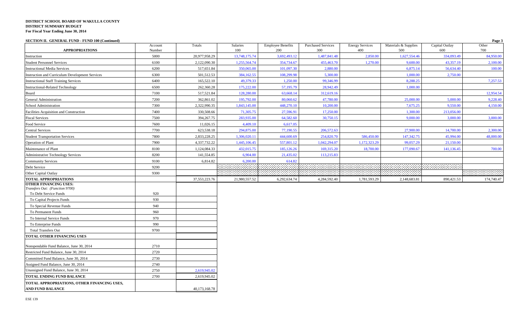| SECTION II. GENERAL FUND - FUND 100 (Continued)                        |                   |                  |                 |                                 |                                  |                               |                             |                       | Page 3       |
|------------------------------------------------------------------------|-------------------|------------------|-----------------|---------------------------------|----------------------------------|-------------------------------|-----------------------------|-----------------------|--------------|
| <b>APPROPRIATIONS</b>                                                  | Account<br>Number | Totals           | Salaries<br>100 | <b>Employee Benefits</b><br>200 | <b>Purchased Services</b><br>300 | <b>Energy Services</b><br>400 | Materials & Supplies<br>500 | Capital Outlay<br>600 | Other<br>700 |
| Instruction                                                            | 5000              | 20,977,958.29    | 13,748,175.74   | 3,692,493.12                    | 1,487,841.48                     | 2,850.00                      | 1,627,554.46                | 334,093.49            | 84,950.00    |
| <b>Student Personnel Services</b>                                      | 6100              | 2,122,090.30     | 1,255,564.74    | 354,734.67                      | 455,463.70                       | 1,270.00                      | 9,600.00                    | 43,357.19             | 2,100.00     |
| <b>Instructional Media Services</b>                                    | 6200              | 517,651.84       | 350,065.00      | 101,097.30                      | 2,880.00                         |                               | 6,875.14                    | 56,634.40             | 100.00       |
| <b>Instruction and Curriculum Development Services</b>                 | 6300              | 501,512.53       | 384,162.55      | 108,299.98                      | 5,300.00                         |                               | 1.000.00                    | 2,750.00              |              |
| <b>Instructional Staff Training Services</b>                           | 6400              | 165,522.10       | 49,379.33       | 1,250.00                        | 99,346.99                        |                               | 8,288.25                    |                       | 7,257.53     |
| <b>Instructional-Related Technology</b>                                | 6500              | 262,360.28       | 175,222.00      | 57,195.79                       | 28,942.49                        |                               | 1,000.00                    |                       |              |
| Board                                                                  | 7100              | 517,521.84       | 128,280.00      | 63,668.14                       | 312,619.16                       |                               |                             |                       | 12,954.54    |
| <b>General Administration</b>                                          | 7200              | 362,861.02       | 195,792.00      | 80,060.62                       | 47,780.00                        |                               | 25,000.00                   | 5,000.00              | 9,228.40     |
| School Administration                                                  | 7300              | 2,322,990.35     | 1,843,145.00    | 448,270.10                      | 10,200.00                        |                               | 7,675.25                    | 9,550.00              | 4,150.00     |
| Facilities Acquisition and Construction                                | 7400              | 330,508.66       | 71,305.75       | 27,596.91                       | 17,250.00                        |                               | 1,300.00                    | 213,056.00            |              |
| <b>Fiscal Services</b>                                                 | 7500              | 394,267.75       | 283,935.00      | 64,582.60                       | 30,750.15                        |                               | 9,000.00                    | 3,000.00              | 3,000.00     |
| Food Service                                                           | 7600              | 11,026.15        | 4,409.10        | 6,617.05                        |                                  |                               |                             |                       |              |
| <b>Central Services</b>                                                | 7700              | 623,538.18       | 294,875.00      | 77,190.55                       | 206,572.63                       |                               | 27,900.00                   | 14,700.00             | 2,300.00     |
| <b>Student Transportation Services</b>                                 | 7800              | 2,833,228.25     | 1,306,020.11    | 444,600.69                      | 254,820.70                       | 586,450.00                    | 147,342.75                  | 45,994.00             | 48,000.00    |
| Operation of Plant                                                     | 7900              | 4,337,732.22     | 1,445,106.45    | 557,801.12                      | 1,042,294.07                     | 1,172,323.29                  | 99,057.29                   | 21,150.00             |              |
| Maintenance of Plant                                                   | 8100              | 1,124,084.33     | 432,015.75      | 185,126.26                      | 169,315.20                       | 18,700.00                     | 177,090.67                  | 141,136.45            | 700.00       |
| <b>Administrative Technology Services</b>                              | 8200              | 141,554.85       | 6,904.00        | 21,435.02                       | 113,215.83                       |                               |                             |                       |              |
| <b>Community Services</b>                                              | 9100              | 6,814.82         | 6,200.00        | 614.82                          |                                  |                               |                             |                       |              |
| Debt Service                                                           | 9200              |                  |                 |                                 |                                  |                               |                             |                       |              |
| Other Capital Outlay                                                   | 9300              |                  |                 |                                 |                                  |                               |                             |                       |              |
| TOTAL APPROPRIATIONS                                                   |                   | 37, 553, 223. 76 | 21,980,557.52   | 6,292,634.74                    | 4,284,592.40                     | 1,781,593.29                  | 2,148,683.81                | 890,421.53            | 174,740.47   |
| <b>OTHER FINANCING USES:</b><br>Transfers Out: (Function 9700)         |                   |                  |                 |                                 |                                  |                               |                             |                       |              |
| To Debt Service Funds                                                  | 920               |                  |                 |                                 |                                  |                               |                             |                       |              |
| To Capital Projects Funds                                              | 930               |                  |                 |                                 |                                  |                               |                             |                       |              |
| To Special Revenue Funds                                               | 940               |                  |                 |                                 |                                  |                               |                             |                       |              |
| To Permanent Funds                                                     | 960               |                  |                 |                                 |                                  |                               |                             |                       |              |
| To Internal Service Funds                                              | 970               |                  |                 |                                 |                                  |                               |                             |                       |              |
| To Enterprise Funds                                                    | 990               |                  |                 |                                 |                                  |                               |                             |                       |              |
| <b>Total Transfers Out</b>                                             | 9700              |                  |                 |                                 |                                  |                               |                             |                       |              |
| TOTAL OTHER FINANCING USES                                             |                   |                  |                 |                                 |                                  |                               |                             |                       |              |
| Nonspendable Fund Balance, June 30, 2014                               | 2710              |                  |                 |                                 |                                  |                               |                             |                       |              |
| Restricted Fund Balance, June 30, 2014                                 | 2720              |                  |                 |                                 |                                  |                               |                             |                       |              |
| Committed Fund Balance, June 30, 2014                                  | 2730              |                  |                 |                                 |                                  |                               |                             |                       |              |
| Assigned Fund Balance, June 30, 2014                                   | 2740              |                  |                 |                                 |                                  |                               |                             |                       |              |
| Unassigned Fund Balance, June 30, 2014                                 | 2750              | 2,619,945.02     |                 |                                 |                                  |                               |                             |                       |              |
| TOTAL ENDING FUND BALANCE                                              | 2700              | 2,619,945.02     |                 |                                 |                                  |                               |                             |                       |              |
| TOTAL APPROPRIATIONS, OTHER FINANCING USES,<br><b>AND FUND BALANCE</b> |                   | 40,173,168.78    |                 |                                 |                                  |                               |                             |                       |              |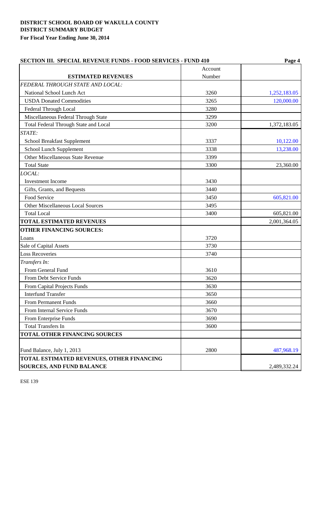| <b>SECTION III. SPECIAL REVENUE FUNDS - FOOD SERVICES - FUND 410</b> | Page 4  |              |  |
|----------------------------------------------------------------------|---------|--------------|--|
|                                                                      | Account |              |  |
| <b>ESTIMATED REVENUES</b>                                            | Number  |              |  |
| FEDERAL THROUGH STATE AND LOCAL:                                     |         |              |  |
| National School Lunch Act                                            | 3260    | 1,252,183.05 |  |
| <b>USDA Donated Commodities</b>                                      | 3265    | 120,000.00   |  |
| Federal Through Local                                                | 3280    |              |  |
| Miscellaneous Federal Through State                                  | 3299    |              |  |
| Total Federal Through State and Local                                | 3200    | 1,372,183.05 |  |
| STATE:                                                               |         |              |  |
| <b>School Breakfast Supplement</b>                                   | 3337    | 10,122.00    |  |
| School Lunch Supplement                                              | 3338    | 13,238.00    |  |
| <b>Other Miscellaneous State Revenue</b>                             | 3399    |              |  |
| <b>Total State</b>                                                   | 3300    | 23,360.00    |  |
| LOCAL:                                                               |         |              |  |
| <b>Investment Income</b>                                             | 3430    |              |  |
| Gifts, Grants, and Bequests                                          | 3440    |              |  |
| Food Service                                                         | 3450    | 605,821.00   |  |
| Other Miscellaneous Local Sources                                    | 3495    |              |  |
| <b>Total Local</b>                                                   | 3400    | 605,821.00   |  |
| <b>TOTAL ESTIMATED REVENUES</b>                                      |         | 2,001,364.05 |  |
| <b>OTHER FINANCING SOURCES:</b>                                      |         |              |  |
| Loans                                                                | 3720    |              |  |
| Sale of Capital Assets                                               | 3730    |              |  |
| <b>Loss Recoveries</b>                                               | 3740    |              |  |
| Transfers In:                                                        |         |              |  |
| From General Fund                                                    | 3610    |              |  |
| From Debt Service Funds                                              | 3620    |              |  |
| From Capital Projects Funds                                          | 3630    |              |  |
| <b>Interfund Transfer</b>                                            | 3650    |              |  |
| <b>From Permanent Funds</b>                                          | 3660    |              |  |
| From Internal Service Funds                                          | 3670    |              |  |
| From Enterprise Funds                                                | 3690    |              |  |
| <b>Total Transfers In</b>                                            | 3600    |              |  |
| <b>TOTAL OTHER FINANCING SOURCES</b>                                 |         |              |  |
|                                                                      |         |              |  |
| Fund Balance, July 1, 2013                                           | 2800    | 487,968.19   |  |
| TOTAL ESTIMATED REVENUES, OTHER FINANCING                            |         |              |  |
| <b>SOURCES, AND FUND BALANCE</b>                                     |         | 2,489,332.24 |  |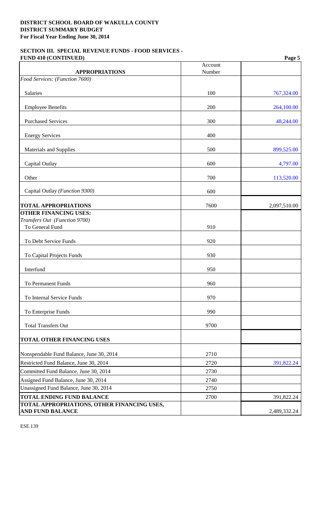## **SECTION III. SPECIAL REVENUE FUNDS - FOOD SERVICES - FUND 410 (CONTINUED) Page 5**

|                                                                        | Account |              |
|------------------------------------------------------------------------|---------|--------------|
| <b>APPROPRIATIONS</b><br>Food Services: (Function 7600)                | Number  |              |
|                                                                        |         |              |
| Salaries                                                               | 100     | 767,324.00   |
| <b>Employee Benefits</b>                                               | 200     | 264,100.00   |
| <b>Purchased Services</b>                                              | 300     | 48,244.00    |
| <b>Energy Services</b>                                                 | 400     |              |
| Materials and Supplies                                                 | 500     | 899,525.00   |
| Capital Outlay                                                         | 600     | 4,797.00     |
| Other                                                                  | 700     | 113,520.00   |
| Capital Outlay (Function 9300)                                         | 600     |              |
| <b>TOTAL APPROPRIATIONS</b>                                            | 7600    | 2,097,510.00 |
| <b>OTHER FINANCING USES:</b>                                           |         |              |
| Transfers Out (Function 9700)<br>To General Fund                       | 910     |              |
|                                                                        |         |              |
| To Debt Service Funds                                                  | 920     |              |
| To Capital Projects Funds                                              | 930     |              |
| Interfund                                                              | 950     |              |
| <b>To Permanent Funds</b>                                              | 960     |              |
| To Internal Service Funds                                              | 970     |              |
| To Enterprise Funds                                                    | 990     |              |
| <b>Total Transfers Out</b>                                             | 9700    |              |
| <b>TOTAL OTHER FINANCING USES</b>                                      |         |              |
| Nonspendable Fund Balance, June 30, 2014                               | 2710    |              |
| Restricted Fund Balance, June 30, 2014                                 | 2720    | 391,822.24   |
| Committed Fund Balance, June 30, 2014                                  | 2730    |              |
| Assigned Fund Balance, June 30, 2014                                   | 2740    |              |
| Unassigned Fund Balance, June 30, 2014                                 | 2750    |              |
| <b>TOTAL ENDING FUND BALANCE</b>                                       | 2700    | 391,822.24   |
| TOTAL APPROPRIATIONS, OTHER FINANCING USES,<br><b>AND FUND BALANCE</b> |         | 2,489,332.24 |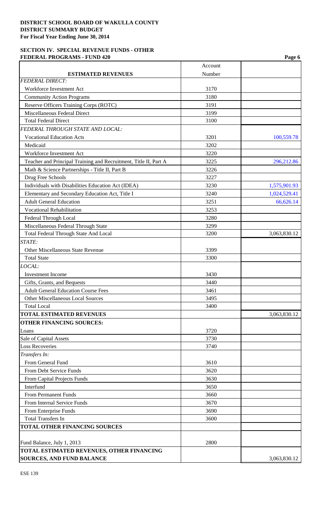# **SECTION IV. SPECIAL REVENUE FUNDS - OTHER FEDERAL PROGRAMS - FUND 420** Page 6

|                                                                  | Account |              |
|------------------------------------------------------------------|---------|--------------|
| <b>ESTIMATED REVENUES</b>                                        | Number  |              |
| <b>FEDERAL DIRECT:</b>                                           |         |              |
| Workforce Investment Act                                         | 3170    |              |
| <b>Community Action Programs</b>                                 | 3180    |              |
| Reserve Officers Training Corps (ROTC)                           | 3191    |              |
| Miscellaneous Federal Direct                                     | 3199    |              |
| <b>Total Federal Direct</b>                                      | 3100    |              |
| FEDERAL THROUGH STATE AND LOCAL:                                 |         |              |
| <b>Vocational Education Acts</b>                                 | 3201    | 100,559.78   |
| Medicaid                                                         | 3202    |              |
| Workforce Investment Act                                         | 3220    |              |
| Teacher and Principal Training and Recruitment, Title II, Part A | 3225    | 296,212.86   |
| Math & Science Partnerships - Title II, Part B                   | 3226    |              |
| Drug Free Schools                                                | 3227    |              |
| Individuals with Disabilities Education Act (IDEA)               | 3230    | 1,575,901.93 |
| Elementary and Secondary Education Act, Title I                  | 3240    | 1,024,529.41 |
| <b>Adult General Education</b>                                   | 3251    | 66,626.14    |
| <b>Vocational Rehabilitation</b>                                 | 3253    |              |
| Federal Through Local                                            | 3280    |              |
| Miscellaneous Federal Through State                              | 3299    |              |
| Total Federal Through State And Local                            | 3200    | 3,063,830.12 |
| STATE:                                                           |         |              |
| <b>Other Miscellaneous State Revenue</b>                         | 3399    |              |
| <b>Total State</b>                                               | 3300    |              |
| LOCAL:                                                           |         |              |
| <b>Investment Income</b>                                         | 3430    |              |
| Gifts, Grants, and Bequests                                      | 3440    |              |
| <b>Adult General Education Course Fees</b>                       | 3461    |              |
| <b>Other Miscellaneous Local Sources</b>                         | 3495    |              |
| <b>Total Local</b>                                               | 3400    |              |
| <b>TOTAL ESTIMATED REVENUES</b>                                  |         | 3,063,830.12 |
| <b>OTHER FINANCING SOURCES:</b>                                  |         |              |
| Loans                                                            | 3720    |              |
| Sale of Capital Assets                                           | 3730    |              |
| <b>Loss Recoveries</b>                                           | 3740    |              |
| Transfers In:                                                    |         |              |
| From General Fund                                                | 3610    |              |
| From Debt Service Funds                                          | 3620    |              |
| From Capital Projects Funds                                      | 3630    |              |
| Interfund                                                        | 3650    |              |
| <b>From Permanent Funds</b>                                      | 3660    |              |
| From Internal Service Funds                                      | 3670    |              |
| From Enterprise Funds                                            | 3690    |              |
| <b>Total Transfers In</b>                                        | 3600    |              |
| <b>TOTAL OTHER FINANCING SOURCES</b>                             |         |              |
|                                                                  |         |              |
| Fund Balance, July 1, 2013                                       | 2800    |              |
| TOTAL ESTIMATED REVENUES, OTHER FINANCING                        |         |              |
| <b>SOURCES, AND FUND BALANCE</b>                                 |         | 3,063,830.12 |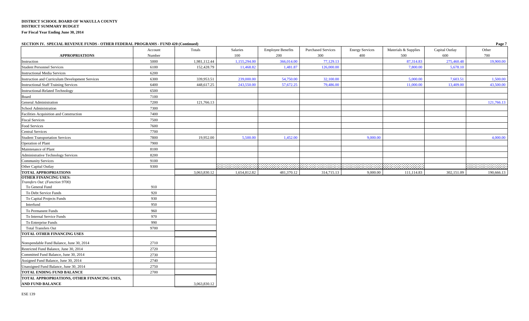#### **SECTION IV. SPECIAL REVENUE FUNDS - OTHER FEDERAL PROGRAMS - FUND 420 (Continued) Page 7**

|                                                 | Account | Totals       | Salaries     | <b>Employee Benefits</b> | <b>Purchased Services</b> | <b>Energy Services</b> | Materials & Supplies | Capital Outlay | Other      |
|-------------------------------------------------|---------|--------------|--------------|--------------------------|---------------------------|------------------------|----------------------|----------------|------------|
| <b>APPROPRIATIONS</b>                           | Number  |              | 100          | 200                      | 300                       | 400                    | 500                  | 600            | 700        |
| Instruction                                     | 5000    | 1,981,112.44 | 1,155,294.00 | 366,014.00               | 77,129.13                 |                        | 87,314.83            | 275,460.48     | 19,900.00  |
| <b>Student Personnel Services</b>               | 6100    | 152,428.79   | 11,468.82    | 1,481.87                 | 126,000.00                |                        | 7,800.00             | 5,678.10       |            |
| <b>Instructional Media Services</b>             | 6200    |              |              |                          |                           |                        |                      |                |            |
| Instruction and Curriculum Development Services | 6300    | 339,953.51   | 239,000.00   | 54,750.00                | 32,100.00                 |                        | 5,000.00             | 7,603.51       | 1,500.00   |
| <b>Instructional Staff Training Services</b>    | 6400    | 448,617.25   | 243,550.00   | 57,672.25                | 79,486.00                 |                        | 11,000.00            | 13,409.00      | 43,500.00  |
| Instructional-Related Technology                | 6500    |              |              |                          |                           |                        |                      |                |            |
| Board                                           | 7100    |              |              |                          |                           |                        |                      |                |            |
| <b>General Administration</b>                   | 7200    | 121,766.13   |              |                          |                           |                        |                      |                | 121,766.13 |
| School Administration                           | 7300    |              |              |                          |                           |                        |                      |                |            |
| Facilities Acquisition and Construction         | 7400    |              |              |                          |                           |                        |                      |                |            |
| <b>Fiscal Services</b>                          | 7500    |              |              |                          |                           |                        |                      |                |            |
| Food Services                                   | 7600    |              |              |                          |                           |                        |                      |                |            |
| <b>Central Services</b>                         | 7700    |              |              |                          |                           |                        |                      |                |            |
| <b>Student Transportation Services</b>          | 7800    | 19,952.00    | 5,500.00     | 1,452.00                 |                           | 9,000.00               |                      |                | 4,000.00   |
| Operation of Plant                              | 7900    |              |              |                          |                           |                        |                      |                |            |
| Maintenance of Plant                            | 8100    |              |              |                          |                           |                        |                      |                |            |
| <b>Administrative Technology Services</b>       | 8200    |              |              |                          |                           |                        |                      |                |            |
| <b>Community Services</b>                       | 9100    |              |              |                          |                           |                        |                      |                |            |
| Other Capital Outlay                            | 9300    |              |              |                          |                           |                        |                      |                |            |
| <b>TOTAL APPROPRIATIONS</b>                     |         | 3,063,830.12 | 1,654,812.82 | 481,370.12               | 314,715.13                | 9,000.00               | 111,114.83           | 302,151.09     | 190,666.13 |
| <b>OTHER FINANCING USES:</b>                    |         |              |              |                          |                           |                        |                      |                |            |
| Transfers Out: (Function 9700)                  |         |              |              |                          |                           |                        |                      |                |            |
| To General Fund                                 | 910     |              |              |                          |                           |                        |                      |                |            |
| To Debt Service Funds                           | 920     |              |              |                          |                           |                        |                      |                |            |
| To Capital Projects Funds                       | 930     |              |              |                          |                           |                        |                      |                |            |
| Interfund                                       | 950     |              |              |                          |                           |                        |                      |                |            |
| To Permanent Funds                              | 960     |              |              |                          |                           |                        |                      |                |            |
| To Internal Service Funds                       | 970     |              |              |                          |                           |                        |                      |                |            |
| To Enterprise Funds                             | 990     |              |              |                          |                           |                        |                      |                |            |
| <b>Total Transfers Out</b>                      | 9700    |              |              |                          |                           |                        |                      |                |            |
| <b>TOTAL OTHER FINANCING USES</b>               |         |              |              |                          |                           |                        |                      |                |            |
| Nonspendable Fund Balance, June 30, 2014        | 2710    |              |              |                          |                           |                        |                      |                |            |
| Restricted Fund Balance, June 30, 2014          | 2720    |              |              |                          |                           |                        |                      |                |            |
| Committed Fund Balance, June 30, 2014           | 2730    |              |              |                          |                           |                        |                      |                |            |
| Assigned Fund Balance, June 30, 2014            | 2740    |              |              |                          |                           |                        |                      |                |            |
| Unassigned Fund Balance, June 30, 2014          | 2750    |              |              |                          |                           |                        |                      |                |            |
| <b>TOTAL ENDING FUND BALANCE</b>                | 2700    |              |              |                          |                           |                        |                      |                |            |
| TOTAL APPROPRIATIONS, OTHER FINANCING USES,     |         |              |              |                          |                           |                        |                      |                |            |
| <b>AND FUND BALANCE</b>                         |         | 3,063,830.12 |              |                          |                           |                        |                      |                |            |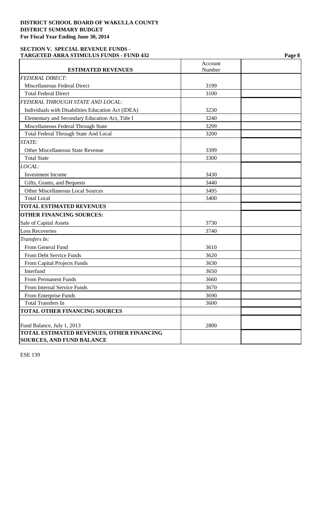# **SECTION V. SPECIAL REVENUE FUNDS - TARGETED ARRA STIMULUS FUNDS - FUND 432 Page 8**

| <b>ESTIMATED REVENUES</b>                          | Account<br>Number |  |
|----------------------------------------------------|-------------------|--|
| <b>FEDERAL DIRECT:</b>                             |                   |  |
| Miscellaneous Federal Direct                       | 3199              |  |
| <b>Total Federal Direct</b>                        | 3100              |  |
| FEDERAL THROUGH STATE AND LOCAL:                   |                   |  |
| Individuals with Disabilities Education Act (IDEA) | 3230              |  |
| Elementary and Secondary Education Act, Title I    | 3240              |  |
| Miscellaneous Federal Through State                | 3299              |  |
| <b>Total Federal Through State And Local</b>       | 3200              |  |
| STATE:                                             |                   |  |
| <b>Other Miscellaneous State Revenue</b>           | 3399              |  |
| <b>Total State</b>                                 | 3300              |  |
| LOCAL:                                             |                   |  |
| <b>Investment Income</b>                           | 3430              |  |
| Gifts, Grants, and Bequests                        | 3440              |  |
| <b>Other Miscellaneous Local Sources</b>           | 3495              |  |
| <b>Total Local</b>                                 | 3400              |  |
| <b>TOTAL ESTIMATED REVENUES</b>                    |                   |  |
| <b>OTHER FINANCING SOURCES:</b>                    |                   |  |
| Sale of Capital Assets                             | 3730              |  |
| <b>Loss Recoveries</b>                             | 3740              |  |
| Transfers In:                                      |                   |  |
| From General Fund                                  | 3610              |  |
| From Debt Service Funds                            | 3620              |  |
| From Capital Projects Funds                        | 3630              |  |
| Interfund                                          | 3650              |  |
| <b>From Permanent Funds</b>                        | 3660              |  |
| From Internal Service Funds                        | 3670              |  |
| From Enterprise Funds                              | 3690              |  |
| <b>Total Transfers In</b>                          | 3600              |  |
| <b>TOTAL OTHER FINANCING SOURCES</b>               |                   |  |
| Fund Balance, July 1, 2013                         | 2800              |  |
| TOTAL ESTIMATED REVENUES, OTHER FINANCING          |                   |  |
| <b>SOURCES, AND FUND BALANCE</b>                   |                   |  |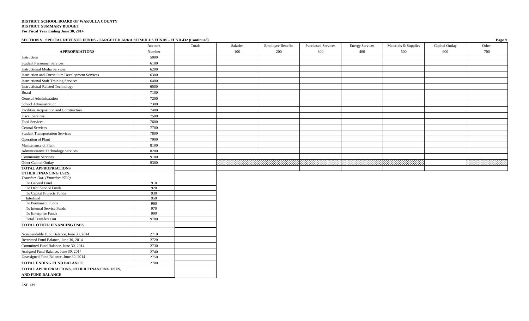#### **SECTION V. SPECIAL REVENUE FUNDS - TARGETED ARRA STIMULUS FUNDS - FUND 432 (Continued) Page 9**

| $\frac{1}{2}$                                    |            |        |          |                          |                           |                        |                      |                | $ \frac{1}{2}$ |
|--------------------------------------------------|------------|--------|----------|--------------------------|---------------------------|------------------------|----------------------|----------------|----------------|
|                                                  | Account    | Totals | Salaries | <b>Employee Benefits</b> | <b>Purchased Services</b> | <b>Energy Services</b> | Materials & Supplies | Capital Outlay | Other          |
| <b>APPROPRIATIONS</b>                            | Number     |        | 100      | 200                      | 300                       | 400                    | 500                  | 600            | 700            |
| Instruction                                      | 5000       |        |          |                          |                           |                        |                      |                |                |
| <b>Student Personnel Services</b>                | 6100       |        |          |                          |                           |                        |                      |                |                |
| <b>Instructional Media Services</b>              | 6200       |        |          |                          |                           |                        |                      |                |                |
| Instruction and Curriculum Development Services  | 6300       |        |          |                          |                           |                        |                      |                |                |
| <b>Instructional Staff Training Services</b>     | 6400       |        |          |                          |                           |                        |                      |                |                |
| <b>Instructional-Related Technology</b>          | 6500       |        |          |                          |                           |                        |                      |                |                |
| Board                                            | 7100       |        |          |                          |                           |                        |                      |                |                |
| General Administration                           | 7200       |        |          |                          |                           |                        |                      |                |                |
| School Administration                            | 7300       |        |          |                          |                           |                        |                      |                |                |
| Facilities Acquisition and Construction          | 7400       |        |          |                          |                           |                        |                      |                |                |
| <b>Fiscal Services</b>                           | 7500       |        |          |                          |                           |                        |                      |                |                |
| Food Services                                    | 7600       |        |          |                          |                           |                        |                      |                |                |
| <b>Central Services</b>                          | 7700       |        |          |                          |                           |                        |                      |                |                |
| <b>Student Transportation Services</b>           | 7800       |        |          |                          |                           |                        |                      |                |                |
| Operation of Plant                               | 7900       |        |          |                          |                           |                        |                      |                |                |
| Maintenance of Plant                             | 8100       |        |          |                          |                           |                        |                      |                |                |
| Administrative Technology Services               | 8200       |        |          |                          |                           |                        |                      |                |                |
| Community Services                               | 9100       |        |          |                          |                           |                        |                      |                |                |
| Other Capital Outlay                             | 9300       |        |          |                          |                           |                        | .                    |                | 20 30 30 30 31 |
| <b>TOTAL APPROPRIATIONS</b>                      |            |        |          |                          |                           |                        |                      |                |                |
| <b>OTHER FINANCING USES:</b>                     |            |        |          |                          |                           |                        |                      |                |                |
| Transfers Out: (Function 9700)                   |            |        |          |                          |                           |                        |                      |                |                |
| To General Fund                                  | 910        |        |          |                          |                           |                        |                      |                |                |
| To Debt Service Funds                            | 920        |        |          |                          |                           |                        |                      |                |                |
| To Capital Projects Funds                        | 930        |        |          |                          |                           |                        |                      |                |                |
| Interfund<br>To Permanent Funds                  | 950<br>960 |        |          |                          |                           |                        |                      |                |                |
|                                                  | 970        |        |          |                          |                           |                        |                      |                |                |
| To Internal Service Funds<br>To Enterprise Funds | 990        |        |          |                          |                           |                        |                      |                |                |
| <b>Total Transfers Out</b>                       | 9700       |        |          |                          |                           |                        |                      |                |                |
| TOTAL OTHER FINANCING USES                       |            |        |          |                          |                           |                        |                      |                |                |
|                                                  |            |        |          |                          |                           |                        |                      |                |                |
| Nonspendable Fund Balance, June 30, 2014         | 2710       |        |          |                          |                           |                        |                      |                |                |
| Restricted Fund Balance, June 30, 2014           | 2720       |        |          |                          |                           |                        |                      |                |                |
| Committed Fund Balance, June 30, 2014            | 2730       |        |          |                          |                           |                        |                      |                |                |
| Assigned Fund Balance, June 30, 2014             | 2740       |        |          |                          |                           |                        |                      |                |                |
| Unassigned Fund Balance, June 30, 2014           | 2750       |        |          |                          |                           |                        |                      |                |                |
| <b>TOTAL ENDING FUND BALANCE</b>                 | 2700       |        |          |                          |                           |                        |                      |                |                |
| TOTAL APPROPRIATIONS, OTHER FINANCING USES,      |            |        |          |                          |                           |                        |                      |                |                |
| AND FUND BALANCE                                 |            |        |          |                          |                           |                        |                      |                |                |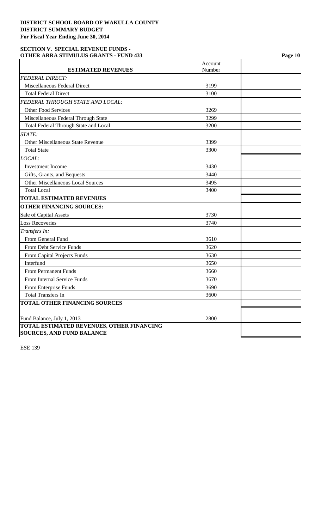## **SECTION V. SPECIAL REVENUE FUNDS - OTHER ARRA STIMULUS GRANTS - FUND 433 Page 10**

|                                                  | Account |  |
|--------------------------------------------------|---------|--|
| <b>ESTIMATED REVENUES</b>                        | Number  |  |
| <b>FEDERAL DIRECT:</b>                           |         |  |
| Miscellaneous Federal Direct                     | 3199    |  |
| <b>Total Federal Direct</b>                      | 3100    |  |
| FEDERAL THROUGH STATE AND LOCAL:                 |         |  |
| <b>Other Food Services</b>                       | 3269    |  |
| Miscellaneous Federal Through State              | 3299    |  |
| <b>Total Federal Through State and Local</b>     | 3200    |  |
| STATE:                                           |         |  |
| <b>Other Miscellaneous State Revenue</b>         | 3399    |  |
| <b>Total State</b>                               | 3300    |  |
| LOCAL:                                           |         |  |
| <b>Investment Income</b>                         | 3430    |  |
| Gifts, Grants, and Bequests                      | 3440    |  |
| <b>Other Miscellaneous Local Sources</b>         | 3495    |  |
| <b>Total Local</b>                               | 3400    |  |
| <b>TOTAL ESTIMATED REVENUES</b>                  |         |  |
| <b>OTHER FINANCING SOURCES:</b>                  |         |  |
| Sale of Capital Assets                           | 3730    |  |
| <b>Loss Recoveries</b>                           | 3740    |  |
| Transfers In:                                    |         |  |
| From General Fund                                | 3610    |  |
| From Debt Service Funds                          | 3620    |  |
| From Capital Projects Funds                      | 3630    |  |
| Interfund                                        | 3650    |  |
| <b>From Permanent Funds</b>                      | 3660    |  |
| From Internal Service Funds                      | 3670    |  |
| From Enterprise Funds                            | 3690    |  |
| <b>Total Transfers In</b>                        | 3600    |  |
| TOTAL OTHER FINANCING SOURCES                    |         |  |
|                                                  |         |  |
| Fund Balance, July 1, 2013                       | 2800    |  |
| <b>TOTAL ESTIMATED REVENUES, OTHER FINANCING</b> |         |  |
| <b>SOURCES, AND FUND BALANCE</b>                 |         |  |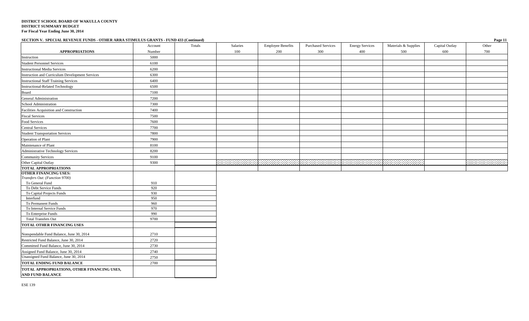### **SECTION V. SPECIAL REVENUE FUNDS - OTHER ARRA STIMULUS GRANTS - FUND 433 (Continued) Page 11**

| $\mu$ and $\mu$ is the state of $\mu$ and $\mu$ and $\mu$ and $\mu$ and $\mu$ and $\mu$ and $\mu$ and $\mu$ (commutes) | Account    | Totals | Salaries | <b>Employee Benefits</b> | <b>Purchased Services</b> | <b>Energy Services</b> | Materials & Supplies | Capital Outlay | 14.641<br>Other |
|------------------------------------------------------------------------------------------------------------------------|------------|--------|----------|--------------------------|---------------------------|------------------------|----------------------|----------------|-----------------|
| <b>APPROPRIATIONS</b>                                                                                                  | Number     |        | 100      | 200                      | 300                       | 400                    | 500                  | 600            | 700             |
|                                                                                                                        | 5000       |        |          |                          |                           |                        |                      |                |                 |
| Instruction<br><b>Student Personnel Services</b>                                                                       | 6100       |        |          |                          |                           |                        |                      |                |                 |
| <b>Instructional Media Services</b>                                                                                    | 6200       |        |          |                          |                           |                        |                      |                |                 |
| Instruction and Curriculum Development Services                                                                        | 6300       |        |          |                          |                           |                        |                      |                |                 |
|                                                                                                                        | 6400       |        |          |                          |                           |                        |                      |                |                 |
| <b>Instructional Staff Training Services</b><br><b>Instructional-Related Technology</b>                                | 6500       |        |          |                          |                           |                        |                      |                |                 |
|                                                                                                                        |            |        |          |                          |                           |                        |                      |                |                 |
| Board                                                                                                                  | 7100       |        |          |                          |                           |                        |                      |                |                 |
| General Administration                                                                                                 | 7200       |        |          |                          |                           |                        |                      |                |                 |
| School Administration                                                                                                  | 7300       |        |          |                          |                           |                        |                      |                |                 |
| Facilities Acquisition and Construction                                                                                | 7400       |        |          |                          |                           |                        |                      |                |                 |
| <b>Fiscal Services</b>                                                                                                 | 7500       |        |          |                          |                           |                        |                      |                |                 |
| Food Services                                                                                                          | 7600       |        |          |                          |                           |                        |                      |                |                 |
| <b>Central Services</b>                                                                                                | 7700       |        |          |                          |                           |                        |                      |                |                 |
| <b>Student Transportation Services</b>                                                                                 | 7800       |        |          |                          |                           |                        |                      |                |                 |
| Operation of Plant                                                                                                     | 7900       |        |          |                          |                           |                        |                      |                |                 |
| Maintenance of Plant                                                                                                   | 8100       |        |          |                          |                           |                        |                      |                |                 |
| Administrative Technology Services                                                                                     | 8200       |        |          |                          |                           |                        |                      |                |                 |
| <b>Community Services</b>                                                                                              | 9100       |        |          |                          |                           |                        |                      |                |                 |
| Other Capital Outlay                                                                                                   | 9300       |        |          |                          |                           |                        | , , , ,              |                |                 |
| <b>TOTAL APPROPRIATIONS</b>                                                                                            |            |        |          |                          |                           |                        |                      |                |                 |
| <b>OTHER FINANCING USES:</b>                                                                                           |            |        |          |                          |                           |                        |                      |                |                 |
| Transfers Out: (Function 9700)                                                                                         |            |        |          |                          |                           |                        |                      |                |                 |
| To General Fund                                                                                                        | 910        |        |          |                          |                           |                        |                      |                |                 |
| To Debt Service Funds                                                                                                  | 920        |        |          |                          |                           |                        |                      |                |                 |
| To Capital Projects Funds<br>Interfund                                                                                 | 930<br>950 |        |          |                          |                           |                        |                      |                |                 |
| To Permanent Funds                                                                                                     | 960        |        |          |                          |                           |                        |                      |                |                 |
| To Internal Service Funds                                                                                              | 970        |        |          |                          |                           |                        |                      |                |                 |
| To Enterprise Funds                                                                                                    | 990        |        |          |                          |                           |                        |                      |                |                 |
| <b>Total Transfers Out</b>                                                                                             | 9700       |        |          |                          |                           |                        |                      |                |                 |
| TOTAL OTHER FINANCING USES                                                                                             |            |        |          |                          |                           |                        |                      |                |                 |
|                                                                                                                        |            |        |          |                          |                           |                        |                      |                |                 |
| Nonspendable Fund Balance, June 30, 2014                                                                               | 2710       |        |          |                          |                           |                        |                      |                |                 |
| Restricted Fund Balance, June 30, 2014                                                                                 | 2720       |        |          |                          |                           |                        |                      |                |                 |
| Committed Fund Balance, June 30, 2014                                                                                  | 2730       |        |          |                          |                           |                        |                      |                |                 |
| Assigned Fund Balance, June 30, 2014                                                                                   | 2740       |        |          |                          |                           |                        |                      |                |                 |
| Unassigned Fund Balance, June 30, 2014                                                                                 | 2750       |        |          |                          |                           |                        |                      |                |                 |
| <b>TOTAL ENDING FUND BALANCE</b>                                                                                       | 2700       |        |          |                          |                           |                        |                      |                |                 |
| TOTAL APPROPRIATIONS, OTHER FINANCING USES,<br><b>AND FUND BALANCE</b>                                                 |            |        |          |                          |                           |                        |                      |                |                 |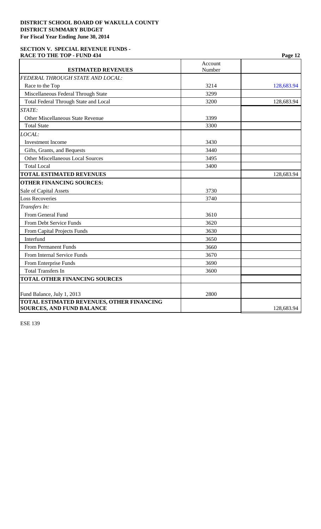### **SECTION V. SPECIAL REVENUE FUNDS -**  RACE TO THE TOP - FUND 434 **Page 12 Page 12**

| <b>ESTIMATED REVENUES</b>                    | Account<br>Number |            |
|----------------------------------------------|-------------------|------------|
| FEDERAL THROUGH STATE AND LOCAL:             |                   |            |
|                                              |                   |            |
| Race to the Top                              | 3214              | 128,683.94 |
| Miscellaneous Federal Through State          | 3299              |            |
| <b>Total Federal Through State and Local</b> | 3200              | 128,683.94 |
| STATE:                                       |                   |            |
| <b>Other Miscellaneous State Revenue</b>     | 3399              |            |
| <b>Total State</b>                           | 3300              |            |
| LOCAL:                                       |                   |            |
| <b>Investment Income</b>                     | 3430              |            |
| Gifts, Grants, and Bequests                  | 3440              |            |
| <b>Other Miscellaneous Local Sources</b>     | 3495              |            |
| <b>Total Local</b>                           | 3400              |            |
| <b>TOTAL ESTIMATED REVENUES</b>              |                   | 128,683.94 |
| <b>OTHER FINANCING SOURCES:</b>              |                   |            |
| Sale of Capital Assets                       | 3730              |            |
| <b>Loss Recoveries</b>                       | 3740              |            |
| Transfers In:                                |                   |            |
| From General Fund                            | 3610              |            |
| From Debt Service Funds                      | 3620              |            |
| From Capital Projects Funds                  | 3630              |            |
| Interfund                                    | 3650              |            |
| <b>From Permanent Funds</b>                  | 3660              |            |
| From Internal Service Funds                  | 3670              |            |
| From Enterprise Funds                        | 3690              |            |
| <b>Total Transfers In</b>                    | 3600              |            |
| <b>TOTAL OTHER FINANCING SOURCES</b>         |                   |            |
|                                              |                   |            |
| Fund Balance, July 1, 2013                   | 2800              |            |
| TOTAL ESTIMATED REVENUES, OTHER FINANCING    |                   |            |
| <b>SOURCES, AND FUND BALANCE</b>             |                   | 128,683.94 |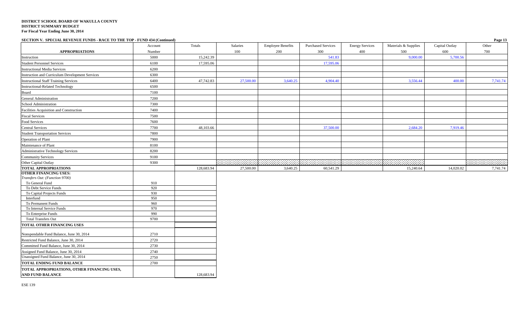**SECTION V. SPECIAL REVENUE FUNDS - RACE TO THE TOP - FUND 434 (Continued) Page 13**

|                                                 | Account    | Totals     | Salaries  | <b>Employee Benefits</b> | <b>Purchased Services</b> | <b>Energy Services</b> | Materials & Supplies | Capital Outlay | Other        |
|-------------------------------------------------|------------|------------|-----------|--------------------------|---------------------------|------------------------|----------------------|----------------|--------------|
| <b>APPROPRIATIONS</b>                           | Number     |            | 100       | 200                      | 300                       | 400                    | 500                  | 600            | 700          |
| Instruction                                     | 5000       | 15,242.39  |           |                          | 541.83                    |                        | 9,000.00             | 5,700.56       |              |
| <b>Student Personnel Services</b>               | 6100       | 17,595.06  |           |                          | 17,595.06                 |                        |                      |                |              |
| <b>Instructional Media Services</b>             | 6200       |            |           |                          |                           |                        |                      |                |              |
| Instruction and Curriculum Development Services | 6300       |            |           |                          |                           |                        |                      |                |              |
| <b>Instructional Staff Training Services</b>    | 6400       | 47,742.83  | 27,500.00 | 3,640.25                 | 4,904.40                  |                        | 3,556.44             | 400.00         | 7,741.74     |
| <b>Instructional-Related Technology</b>         | 6500       |            |           |                          |                           |                        |                      |                |              |
| Board                                           | 7100       |            |           |                          |                           |                        |                      |                |              |
| General Administration                          | 7200       |            |           |                          |                           |                        |                      |                |              |
| School Administration                           | 7300       |            |           |                          |                           |                        |                      |                |              |
| Facilities Acquisition and Construction         | 7400       |            |           |                          |                           |                        |                      |                |              |
| <b>Fiscal Services</b>                          | 7500       |            |           |                          |                           |                        |                      |                |              |
| Food Services                                   | 7600       |            |           |                          |                           |                        |                      |                |              |
| <b>Central Services</b>                         | 7700       | 48,103.66  |           |                          | 37,500.00                 |                        | 2,684.20             | 7,919.46       |              |
| <b>Student Transportation Services</b>          | 7800       |            |           |                          |                           |                        |                      |                |              |
| Operation of Plant                              | 7900       |            |           |                          |                           |                        |                      |                |              |
| Maintenance of Plant                            | 8100       |            |           |                          |                           |                        |                      |                |              |
| <b>Administrative Technology Services</b>       | 8200       |            |           |                          |                           |                        |                      |                |              |
| <b>Community Services</b>                       | 9100       |            |           |                          |                           |                        |                      |                |              |
| Other Capital Outlay                            | 9300       |            |           |                          |                           |                        |                      |                | 200203020202 |
| <b>TOTAL APPROPRIATIONS</b>                     |            | 128,683.94 | 27,500.00 | 3,640.25                 | 60,541.29                 |                        | 15,240.64            | 14,020.02      | 7,741.74     |
| <b>OTHER FINANCING USES:</b>                    |            |            |           |                          |                           |                        |                      |                |              |
| Transfers Out: (Function 9700)                  |            |            |           |                          |                           |                        |                      |                |              |
| To General Fund<br>To Debt Service Funds        | 910<br>920 |            |           |                          |                           |                        |                      |                |              |
| To Capital Projects Funds                       | 930        |            |           |                          |                           |                        |                      |                |              |
| Interfund                                       | 950        |            |           |                          |                           |                        |                      |                |              |
| To Permanent Funds                              | 960        |            |           |                          |                           |                        |                      |                |              |
| To Internal Service Funds                       | 970        |            |           |                          |                           |                        |                      |                |              |
| To Enterprise Funds                             | 990        |            |           |                          |                           |                        |                      |                |              |
| <b>Total Transfers Out</b>                      | 9700       |            |           |                          |                           |                        |                      |                |              |
| TOTAL OTHER FINANCING USES                      |            |            |           |                          |                           |                        |                      |                |              |
| Nonspendable Fund Balance, June 30, 2014        | 2710       |            |           |                          |                           |                        |                      |                |              |
| Restricted Fund Balance, June 30, 2014          | 2720       |            |           |                          |                           |                        |                      |                |              |
| Committed Fund Balance, June 30, 2014           | 2730       |            |           |                          |                           |                        |                      |                |              |
| Assigned Fund Balance, June 30, 2014            | 2740       |            |           |                          |                           |                        |                      |                |              |
| Unassigned Fund Balance, June 30, 2014          | 2750       |            |           |                          |                           |                        |                      |                |              |
| <b>TOTAL ENDING FUND BALANCE</b>                | 2700       |            |           |                          |                           |                        |                      |                |              |
| TOTAL APPROPRIATIONS, OTHER FINANCING USES,     |            |            |           |                          |                           |                        |                      |                |              |
| <b>AND FUND BALANCE</b>                         |            | 128,683.94 |           |                          |                           |                        |                      |                |              |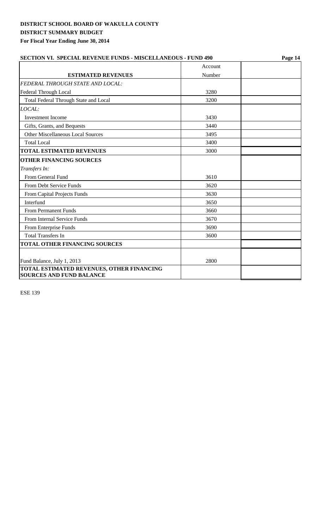| <b>SECTION VI. SPECIAL REVENUE FUNDS - MISCELLANEOUS - FUND 490</b> |         | Page 14 |  |  |  |
|---------------------------------------------------------------------|---------|---------|--|--|--|
|                                                                     | Account |         |  |  |  |
| <b>ESTIMATED REVENUES</b>                                           | Number  |         |  |  |  |
| FEDERAL THROUGH STATE AND LOCAL:                                    |         |         |  |  |  |
| Federal Through Local                                               | 3280    |         |  |  |  |
| Total Federal Through State and Local                               | 3200    |         |  |  |  |
| LOCAL:                                                              |         |         |  |  |  |
| <b>Investment Income</b>                                            | 3430    |         |  |  |  |
| Gifts, Grants, and Bequests                                         | 3440    |         |  |  |  |
| <b>Other Miscellaneous Local Sources</b>                            | 3495    |         |  |  |  |
| <b>Total Local</b>                                                  | 3400    |         |  |  |  |
| <b>TOTAL ESTIMATED REVENUES</b>                                     | 3000    |         |  |  |  |
| <b>OTHER FINANCING SOURCES</b>                                      |         |         |  |  |  |
| Transfers In:                                                       |         |         |  |  |  |
| From General Fund                                                   | 3610    |         |  |  |  |
| From Debt Service Funds                                             | 3620    |         |  |  |  |
| From Capital Projects Funds                                         | 3630    |         |  |  |  |
| Interfund                                                           | 3650    |         |  |  |  |
| <b>From Permanent Funds</b>                                         | 3660    |         |  |  |  |
| From Internal Service Funds                                         | 3670    |         |  |  |  |
| From Enterprise Funds                                               | 3690    |         |  |  |  |
| <b>Total Transfers In</b>                                           | 3600    |         |  |  |  |
| <b>TOTAL OTHER FINANCING SOURCES</b>                                |         |         |  |  |  |
|                                                                     |         |         |  |  |  |
| Fund Balance, July 1, 2013                                          | 2800    |         |  |  |  |
| <b>TOTAL ESTIMATED REVENUES, OTHER FINANCING</b>                    |         |         |  |  |  |
| <b>SOURCES AND FUND BALANCE</b>                                     |         |         |  |  |  |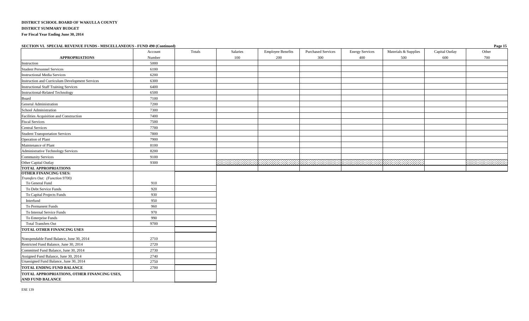| Salaries<br>Totals<br><b>Employee Benefits</b><br><b>Purchased Services</b><br><b>Energy Services</b><br>Materials & Supplies<br>Capital Outlay<br>Other<br>Account<br><b>APPROPRIATIONS</b><br>100<br>200<br>300<br>500<br>600<br>700<br>Number<br>400<br>5000<br>Instruction<br><b>Student Personnel Services</b><br>6100<br><b>Instructional Media Services</b><br>6200<br>6300<br>Instruction and Curriculum Development Services<br>6400<br><b>Instructional Staff Training Services</b><br>6500<br>Instructional-Related Technology<br>Board<br>7100<br>General Administration<br>7200<br>School Administration<br>7300<br>7400<br>Facilities Acquisition and Construction<br>7500<br><b>Fiscal Services</b><br><b>Central Services</b><br>7700<br>7800<br><b>Student Transportation Services</b><br>7900<br>Operation of Plant<br>Maintenance of Plant<br>8100<br>Administrative Technology Services<br>8200<br>9100<br><b>Community Services</b> | SECTION VI. SPECIAL REVENUE FUNDS - MISCELLANEOUS - FUND 490 (Continued) |      |  |  |  | Page 15             |
|----------------------------------------------------------------------------------------------------------------------------------------------------------------------------------------------------------------------------------------------------------------------------------------------------------------------------------------------------------------------------------------------------------------------------------------------------------------------------------------------------------------------------------------------------------------------------------------------------------------------------------------------------------------------------------------------------------------------------------------------------------------------------------------------------------------------------------------------------------------------------------------------------------------------------------------------------------|--------------------------------------------------------------------------|------|--|--|--|---------------------|
|                                                                                                                                                                                                                                                                                                                                                                                                                                                                                                                                                                                                                                                                                                                                                                                                                                                                                                                                                          |                                                                          |      |  |  |  |                     |
|                                                                                                                                                                                                                                                                                                                                                                                                                                                                                                                                                                                                                                                                                                                                                                                                                                                                                                                                                          |                                                                          |      |  |  |  |                     |
|                                                                                                                                                                                                                                                                                                                                                                                                                                                                                                                                                                                                                                                                                                                                                                                                                                                                                                                                                          |                                                                          |      |  |  |  |                     |
|                                                                                                                                                                                                                                                                                                                                                                                                                                                                                                                                                                                                                                                                                                                                                                                                                                                                                                                                                          |                                                                          |      |  |  |  |                     |
|                                                                                                                                                                                                                                                                                                                                                                                                                                                                                                                                                                                                                                                                                                                                                                                                                                                                                                                                                          |                                                                          |      |  |  |  |                     |
|                                                                                                                                                                                                                                                                                                                                                                                                                                                                                                                                                                                                                                                                                                                                                                                                                                                                                                                                                          |                                                                          |      |  |  |  |                     |
|                                                                                                                                                                                                                                                                                                                                                                                                                                                                                                                                                                                                                                                                                                                                                                                                                                                                                                                                                          |                                                                          |      |  |  |  |                     |
|                                                                                                                                                                                                                                                                                                                                                                                                                                                                                                                                                                                                                                                                                                                                                                                                                                                                                                                                                          |                                                                          |      |  |  |  |                     |
|                                                                                                                                                                                                                                                                                                                                                                                                                                                                                                                                                                                                                                                                                                                                                                                                                                                                                                                                                          |                                                                          |      |  |  |  |                     |
|                                                                                                                                                                                                                                                                                                                                                                                                                                                                                                                                                                                                                                                                                                                                                                                                                                                                                                                                                          |                                                                          |      |  |  |  |                     |
|                                                                                                                                                                                                                                                                                                                                                                                                                                                                                                                                                                                                                                                                                                                                                                                                                                                                                                                                                          |                                                                          |      |  |  |  |                     |
|                                                                                                                                                                                                                                                                                                                                                                                                                                                                                                                                                                                                                                                                                                                                                                                                                                                                                                                                                          |                                                                          |      |  |  |  |                     |
|                                                                                                                                                                                                                                                                                                                                                                                                                                                                                                                                                                                                                                                                                                                                                                                                                                                                                                                                                          |                                                                          |      |  |  |  |                     |
|                                                                                                                                                                                                                                                                                                                                                                                                                                                                                                                                                                                                                                                                                                                                                                                                                                                                                                                                                          |                                                                          |      |  |  |  |                     |
|                                                                                                                                                                                                                                                                                                                                                                                                                                                                                                                                                                                                                                                                                                                                                                                                                                                                                                                                                          |                                                                          |      |  |  |  |                     |
|                                                                                                                                                                                                                                                                                                                                                                                                                                                                                                                                                                                                                                                                                                                                                                                                                                                                                                                                                          |                                                                          |      |  |  |  |                     |
|                                                                                                                                                                                                                                                                                                                                                                                                                                                                                                                                                                                                                                                                                                                                                                                                                                                                                                                                                          |                                                                          |      |  |  |  |                     |
|                                                                                                                                                                                                                                                                                                                                                                                                                                                                                                                                                                                                                                                                                                                                                                                                                                                                                                                                                          |                                                                          |      |  |  |  |                     |
|                                                                                                                                                                                                                                                                                                                                                                                                                                                                                                                                                                                                                                                                                                                                                                                                                                                                                                                                                          |                                                                          |      |  |  |  |                     |
|                                                                                                                                                                                                                                                                                                                                                                                                                                                                                                                                                                                                                                                                                                                                                                                                                                                                                                                                                          | Other Capital Outlay                                                     | 9300 |  |  |  | 2000 September 2000 |
| <b>TOTAL APPROPRIATIONS</b>                                                                                                                                                                                                                                                                                                                                                                                                                                                                                                                                                                                                                                                                                                                                                                                                                                                                                                                              |                                                                          |      |  |  |  |                     |
| <b>OTHER FINANCING USES:</b>                                                                                                                                                                                                                                                                                                                                                                                                                                                                                                                                                                                                                                                                                                                                                                                                                                                                                                                             |                                                                          |      |  |  |  |                     |
| Transfers Out: (Function 9700)                                                                                                                                                                                                                                                                                                                                                                                                                                                                                                                                                                                                                                                                                                                                                                                                                                                                                                                           |                                                                          |      |  |  |  |                     |
| To General Fund<br>910                                                                                                                                                                                                                                                                                                                                                                                                                                                                                                                                                                                                                                                                                                                                                                                                                                                                                                                                   |                                                                          |      |  |  |  |                     |
| 920<br>To Debt Service Funds                                                                                                                                                                                                                                                                                                                                                                                                                                                                                                                                                                                                                                                                                                                                                                                                                                                                                                                             |                                                                          |      |  |  |  |                     |
| To Capital Projects Funds<br>930                                                                                                                                                                                                                                                                                                                                                                                                                                                                                                                                                                                                                                                                                                                                                                                                                                                                                                                         |                                                                          |      |  |  |  |                     |
| Interfund<br>950                                                                                                                                                                                                                                                                                                                                                                                                                                                                                                                                                                                                                                                                                                                                                                                                                                                                                                                                         |                                                                          |      |  |  |  |                     |
| 960<br>To Permanent Funds                                                                                                                                                                                                                                                                                                                                                                                                                                                                                                                                                                                                                                                                                                                                                                                                                                                                                                                                |                                                                          |      |  |  |  |                     |
| 970<br>To Internal Service Funds                                                                                                                                                                                                                                                                                                                                                                                                                                                                                                                                                                                                                                                                                                                                                                                                                                                                                                                         |                                                                          |      |  |  |  |                     |
| 990<br>To Enterprise Funds                                                                                                                                                                                                                                                                                                                                                                                                                                                                                                                                                                                                                                                                                                                                                                                                                                                                                                                               |                                                                          |      |  |  |  |                     |
| <b>Total Transfers Out</b><br>9700                                                                                                                                                                                                                                                                                                                                                                                                                                                                                                                                                                                                                                                                                                                                                                                                                                                                                                                       |                                                                          |      |  |  |  |                     |
| <b>TOTAL OTHER FINANCING USES</b>                                                                                                                                                                                                                                                                                                                                                                                                                                                                                                                                                                                                                                                                                                                                                                                                                                                                                                                        |                                                                          |      |  |  |  |                     |
| 2710<br>Nonspendable Fund Balance, June 30, 2014                                                                                                                                                                                                                                                                                                                                                                                                                                                                                                                                                                                                                                                                                                                                                                                                                                                                                                         |                                                                          |      |  |  |  |                     |
| 2720<br>Restricted Fund Balance, June 30, 2014                                                                                                                                                                                                                                                                                                                                                                                                                                                                                                                                                                                                                                                                                                                                                                                                                                                                                                           |                                                                          |      |  |  |  |                     |
| Committed Fund Balance, June 30, 2014<br>2730                                                                                                                                                                                                                                                                                                                                                                                                                                                                                                                                                                                                                                                                                                                                                                                                                                                                                                            |                                                                          |      |  |  |  |                     |
| Assigned Fund Balance, June 30, 2014<br>2740                                                                                                                                                                                                                                                                                                                                                                                                                                                                                                                                                                                                                                                                                                                                                                                                                                                                                                             |                                                                          |      |  |  |  |                     |
| Unassigned Fund Balance, June 30, 2014<br>2750                                                                                                                                                                                                                                                                                                                                                                                                                                                                                                                                                                                                                                                                                                                                                                                                                                                                                                           |                                                                          |      |  |  |  |                     |
| <b>TOTAL ENDING FUND BALANCE</b><br>2700                                                                                                                                                                                                                                                                                                                                                                                                                                                                                                                                                                                                                                                                                                                                                                                                                                                                                                                 |                                                                          |      |  |  |  |                     |
| TOTAL APPROPRIATIONS, OTHER FINANCING USES,                                                                                                                                                                                                                                                                                                                                                                                                                                                                                                                                                                                                                                                                                                                                                                                                                                                                                                              |                                                                          |      |  |  |  |                     |

**AND FUND BALANCE**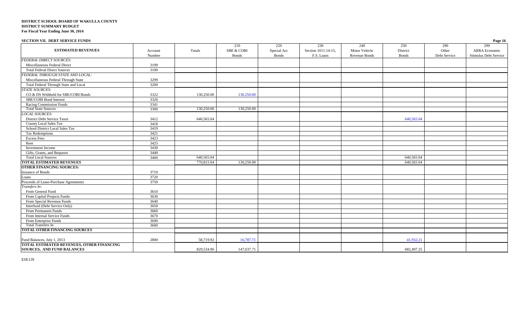| <b>SECTION VII. DEBT SERVICE FUNDS</b>    |         |            |                       |              |                     |               |              |              | Page 16               |
|-------------------------------------------|---------|------------|-----------------------|--------------|---------------------|---------------|--------------|--------------|-----------------------|
|                                           |         |            | 210                   | 220          | 230                 | 240           | 250          | 290          | 299                   |
| <b>ESTIMATED REVENUES</b>                 | Account | Totals     | <b>SBE &amp; COBI</b> | Special Act  | Section 1011.14-15, | Motor Vehicle | District     | Other        | ARRA Economic         |
|                                           | Number  |            | <b>Bonds</b>          | <b>Bonds</b> | F.S. Loans          | Revenue Bonds | <b>Bonds</b> | Debt Service | Stimulus Debt Service |
| <b>FEDERAL DIRECT SOURCES:</b>            |         |            |                       |              |                     |               |              |              |                       |
| Miscellaneous Federal Direct              | 3199    |            |                       |              |                     |               |              |              |                       |
| <b>Total Federal Direct Sources</b>       | 3100    |            |                       |              |                     |               |              |              |                       |
| FEDERAL THROUGH STATE AND LOCAL:          |         |            |                       |              |                     |               |              |              |                       |
| Miscellaneous Federal Through State       | 3299    |            |                       |              |                     |               |              |              |                       |
| Total Federal Through State and Local     | 3200    |            |                       |              |                     |               |              |              |                       |
| <b>STATE SOURCES:</b>                     |         |            |                       |              |                     |               |              |              |                       |
| CO & DS Withheld for SBE/COBI Bonds       | 3322    | 130,250.00 | 130,250.00            |              |                     |               |              |              |                       |
| SBE/COBI Bond Interest                    | 3326    |            |                       |              |                     |               |              |              |                       |
| <b>Racing Commission Funds</b>            | 3341    |            |                       |              |                     |               |              |              |                       |
| <b>Total State Sources</b>                | 3300    | 130,250.00 | 130,250.00            |              |                     |               |              |              |                       |
| <b>LOCAL SOURCES:</b>                     |         |            |                       |              |                     |               |              |              |                       |
| <b>District Debt Service Taxes</b>        | 3412    | 640,565.04 |                       |              |                     |               | 640,565.04   |              |                       |
| <b>County Local Sales Tax</b>             | 3418    |            |                       |              |                     |               |              |              |                       |
| School District Local Sales Tax           | 3419    |            |                       |              |                     |               |              |              |                       |
| <b>Tax Redemptions</b>                    | 3421    |            |                       |              |                     |               |              |              |                       |
| <b>Excess Fees</b>                        | 3423    |            |                       |              |                     |               |              |              |                       |
| Rent                                      | 3425    |            |                       |              |                     |               |              |              |                       |
| Investment Income                         | 3430    |            |                       |              |                     |               |              |              |                       |
| Gifts, Grants, and Bequests               | 3440    |            |                       |              |                     |               |              |              |                       |
| <b>Total Local Sources</b>                | 3400    | 640,565.04 |                       |              |                     |               | 640,565.04   |              |                       |
| <b>TOTAL ESTIMATED REVENUES</b>           |         | 770,815.04 | 130,250.00            |              |                     |               | 640,565.04   |              |                       |
| <b>OTHER FINANCING SOURCES:</b>           |         |            |                       |              |                     |               |              |              |                       |
| <b>Issuance of Bonds</b>                  | 3710    |            |                       |              |                     |               |              |              |                       |
| Loans                                     | 3720    |            |                       |              |                     |               |              |              |                       |
| Proceeds of Lease-Purchase Agreements     | 3750    |            |                       |              |                     |               |              |              |                       |
| Transfers In:                             |         |            |                       |              |                     |               |              |              |                       |
| From General Fund                         | 3610    |            |                       |              |                     |               |              |              |                       |
| From Capital Projects Funds               | 3630    |            |                       |              |                     |               |              |              |                       |
| From Special Revenue Funds                | 3640    |            |                       |              |                     |               |              |              |                       |
| Interfund (Debt Service Only)             | 3650    |            |                       |              |                     |               |              |              |                       |
| From Permanent Funds                      | 3660    |            |                       |              |                     |               |              |              |                       |
| From Internal Service Funds               | 3670    |            |                       |              |                     |               |              |              |                       |
| From Enterprise Funds                     | 3690    |            |                       |              |                     |               |              |              |                       |
| <b>Total Transfers In</b>                 | 3600    |            |                       |              |                     |               |              |              |                       |
| <b>TOTAL OTHER FINANCING SOURCES</b>      |         |            |                       |              |                     |               |              |              |                       |
|                                           |         |            |                       |              |                     |               |              |              |                       |
| Fund Balances, July 1, 2013               | 2800    | 58,719.92  | 16,787.71             |              |                     |               | 41,932.21    |              |                       |
| TOTAL ESTIMATED REVENUES, OTHER FINANCING |         |            |                       |              |                     |               |              |              |                       |
| <b>SOURCES, AND FUND BALANCES</b>         |         | 829,534.96 | 147,037.71            |              |                     |               | 682,497.25   |              |                       |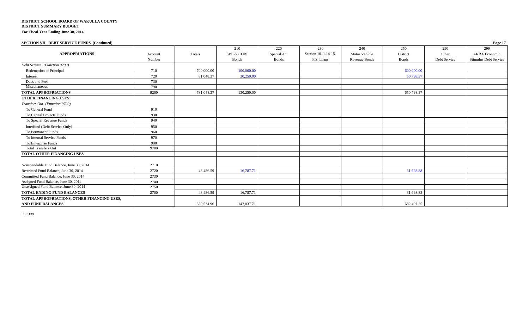| <b>SECTION VII. DEBT SERVICE FUNDS (Continued)</b>                      |         |            |                       |              |                     |               |              |              | Page 17               |
|-------------------------------------------------------------------------|---------|------------|-----------------------|--------------|---------------------|---------------|--------------|--------------|-----------------------|
|                                                                         |         |            | 210                   | 220          | 230                 | 240           | 250          | 290          | 299                   |
| <b>APPROPRIATIONS</b>                                                   | Account | Totals     | <b>SBE &amp; COBI</b> | Special Act  | Section 1011.14-15, | Motor Vehicle | District     | Other        | <b>ARRA</b> Economic  |
|                                                                         | Number  |            | <b>Bonds</b>          | <b>Bonds</b> | F.S. Loans          | Revenue Bonds | <b>Bonds</b> | Debt Service | Stimulus Debt Service |
| Debt Service: (Function 9200)                                           |         |            |                       |              |                     |               |              |              |                       |
| Redemption of Principal                                                 | 710     | 700,000.00 | 100,000.00            |              |                     |               | 600,000.00   |              |                       |
| Interest                                                                | 720     | 81,048.37  | 30,250.00             |              |                     |               | 50,798.37    |              |                       |
| Dues and Fees                                                           | 730     |            |                       |              |                     |               |              |              |                       |
| Miscellaneous                                                           | 790     |            |                       |              |                     |               |              |              |                       |
| <b>TOTAL APPROPRIATIONS</b>                                             | 9200    | 781,048.37 | 130,250.00            |              |                     |               | 650,798.37   |              |                       |
| <b>OTHER FINANCING USES:</b>                                            |         |            |                       |              |                     |               |              |              |                       |
| Transfers Out: (Function 9700)                                          |         |            |                       |              |                     |               |              |              |                       |
| To General Fund                                                         | 910     |            |                       |              |                     |               |              |              |                       |
| To Capital Projects Funds                                               | 930     |            |                       |              |                     |               |              |              |                       |
| To Special Revenue Funds                                                | 940     |            |                       |              |                     |               |              |              |                       |
| Interfund (Debt Service Only)                                           | 950     |            |                       |              |                     |               |              |              |                       |
| To Permanent Funds                                                      | 960     |            |                       |              |                     |               |              |              |                       |
| To Internal Service Funds                                               | 970     |            |                       |              |                     |               |              |              |                       |
| To Enterprise Funds                                                     | 990     |            |                       |              |                     |               |              |              |                       |
| <b>Total Transfers Out</b>                                              | 9700    |            |                       |              |                     |               |              |              |                       |
| <b>TOTAL OTHER FINANCING USES</b>                                       |         |            |                       |              |                     |               |              |              |                       |
| Nonspendable Fund Balance, June 30, 2014                                | 2710    |            |                       |              |                     |               |              |              |                       |
| Restricted Fund Balance, June 30, 2014                                  | 2720    | 48.486.59  | 16,787.7              |              |                     |               | 31,698.88    |              |                       |
| Committed Fund Balance, June 30, 2014                                   | 2730    |            |                       |              |                     |               |              |              |                       |
| Assigned Fund Balance, June 30, 2014                                    | 2740    |            |                       |              |                     |               |              |              |                       |
| Unassigned Fund Balance, June 30, 2014                                  | 2750    |            |                       |              |                     |               |              |              |                       |
| TOTAL ENDING FUND BALANCES                                              | 2700    | 48,486.59  | 16,787.71             |              |                     |               | 31,698.88    |              |                       |
| TOTAL APPROPRIATIONS, OTHER FINANCING USES,<br><b>AND FUND BALANCES</b> |         | 829,534.96 | 147,037.71            |              |                     |               | 682,497.25   |              |                       |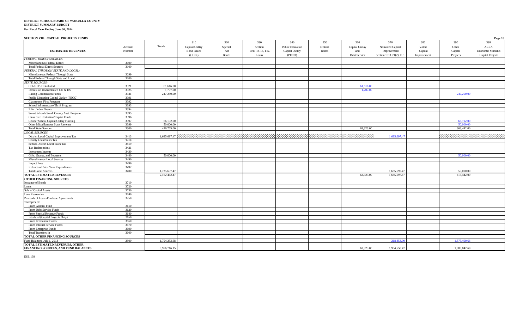| SECTION VIII. CAPITAL PROJECTS FUNDS     |         |              |                       |                |                  |                         |                                                                                               |                       |                          |              |                          | Page 18                 |
|------------------------------------------|---------|--------------|-----------------------|----------------|------------------|-------------------------|-----------------------------------------------------------------------------------------------|-----------------------|--------------------------|--------------|--------------------------|-------------------------|
|                                          | Account | Totals       | 310<br>Capital Outlay | 320<br>Special | 330<br>Section   | 340<br>Public Education | 350<br>District                                                                               | 360<br>Capital Outlay | 370<br>Nonvoted Capital  | 380<br>Voted | 390<br>Other             | 399<br>ARRA             |
| <b>ESTIMATED REVENUES</b>                | Number  |              | <b>Bond Issues</b>    | Act            | 1011.14-15, F.S. | Capital Outlay          | <b>Bonds</b>                                                                                  | and                   | Improvement              | Capital      | Capital                  | Economic Stimulus       |
|                                          |         |              | (COBI)                | <b>B</b> onds  | Loans            | (PECO)                  |                                                                                               | Debt Service          | Section 1011.71(2), F.S. | Improvement  | Projects                 | <b>Capital Projects</b> |
| <b>FEDERAL DIRECT SOURCES:</b>           |         |              |                       |                |                  |                         |                                                                                               |                       |                          |              |                          |                         |
| Miscellaneous Federal Direct             | 3199    |              |                       |                |                  |                         |                                                                                               |                       |                          |              |                          |                         |
| <b>Total Federal Direct Sources</b>      | 3100    |              |                       |                |                  |                         |                                                                                               |                       |                          |              |                          |                         |
| FEDERAL THROUGH STATE AND LOCAL:         |         |              |                       |                |                  |                         |                                                                                               |                       |                          |              |                          |                         |
| Miscellaneous Federal Through State      | 3299    |              |                       |                |                  |                         |                                                                                               |                       |                          |              |                          |                         |
| Total Federal Through State and Local    | 3200    |              |                       |                |                  |                         |                                                                                               |                       |                          |              |                          |                         |
| <b>STATE SOURCES:</b>                    |         |              |                       |                |                  |                         |                                                                                               |                       |                          |              |                          |                         |
| CO & DS Distributed                      | 3321    | 61,616.00    |                       |                |                  |                         |                                                                                               | 61.616.00             |                          |              |                          |                         |
| Interest on Undistributed CO & DS        | 3325    | 1,707.00     |                       |                |                  |                         |                                                                                               | 1,707.00              |                          |              |                          |                         |
| Racing Commission Funds                  | 3341    | 247,250.00   |                       |                |                  |                         |                                                                                               |                       |                          |              | 247,250.00               |                         |
| Public Education Capital Outlay (PECO)   | 3391    |              |                       |                |                  |                         |                                                                                               |                       |                          |              |                          |                         |
| <b>Classrooms First Program</b>          | 3392    |              |                       |                |                  |                         |                                                                                               |                       |                          |              |                          |                         |
| School Infrastructure Thrift Program     | 3393    |              |                       |                |                  |                         |                                                                                               |                       |                          |              |                          |                         |
| <b>Effort Index Grants</b>               | 3394    |              |                       |                |                  |                         |                                                                                               |                       |                          |              |                          |                         |
| Smart Schools Small County Asst. Program | 3395    |              |                       |                |                  |                         |                                                                                               |                       |                          |              |                          |                         |
| Class Size Reduction/Capital Funds       | 3396    |              |                       |                |                  |                         |                                                                                               |                       |                          |              |                          |                         |
| Charter School Capital Outlay Funding    | 3397    | 66,192.00    |                       |                |                  |                         |                                                                                               |                       |                          |              | 66,192.00                |                         |
| Other Miscellaneous State Revenue        | 3399    | 50.000.00    |                       |                |                  |                         |                                                                                               |                       |                          |              | 50,000.00                |                         |
| <b>Total State Sources</b>               | 3300    | 426,765.00   |                       |                |                  |                         |                                                                                               | 63,323.00             |                          |              | 363,442.00               |                         |
| <b>LOCAL SOURCES:</b>                    |         |              |                       |                |                  |                         |                                                                                               |                       |                          |              |                          |                         |
| District Local Capital Improvement Tax   | 3413    |              |                       |                |                  |                         | 1.685.697.47 ENRINGRINGSPARINGSPARINGSPARINGSPARINGSPARINGSPARINGSPARINGSPARINGSPARINGSPARING |                       | 1.685,697.47             |              | A COMO COM COMO COMO COM |                         |
| County Local Sales Tax                   | 3418    |              |                       |                |                  |                         |                                                                                               |                       |                          |              |                          |                         |
| School District Local Sales Tax          | 3419    |              |                       |                |                  |                         |                                                                                               |                       |                          |              |                          |                         |
| Tax Redemptions                          | 3421    |              |                       |                |                  |                         |                                                                                               |                       |                          |              |                          |                         |
| Investment Income                        | 3430    |              |                       |                |                  |                         |                                                                                               |                       |                          |              |                          |                         |
| Gifts, Grants, and Bequests              | 3440    | 50,000,00    |                       |                |                  |                         |                                                                                               |                       |                          |              | 50,000.00                |                         |
| Miscellaneous Local Sources              | 3490    |              |                       |                |                  |                         |                                                                                               |                       |                          |              |                          |                         |
| <b>Impact Fees</b>                       | 3496    |              |                       |                |                  |                         |                                                                                               |                       |                          |              |                          |                         |
| Refunds of Prior Year Expenditures       | 3497    |              |                       |                |                  |                         |                                                                                               |                       |                          |              |                          |                         |
| <b>Total Local Sources</b>               | 3400    | 1,735,697.47 |                       |                |                  |                         |                                                                                               |                       | 1,685,697.47             |              | 50,000,00                |                         |
| <b>TOTAL ESTIMATED REVENUES</b>          |         | 2,162,462.47 |                       |                |                  |                         |                                                                                               | 63,323.00             | 1,685,697.47             |              | 413,442.00               |                         |
| <b>OTHER FINANCING SOURCES</b>           |         |              |                       |                |                  |                         |                                                                                               |                       |                          |              |                          |                         |
| <b>Issuance of Bonds</b>                 | 3710    |              |                       |                |                  |                         |                                                                                               |                       |                          |              |                          |                         |
| Loans                                    | 3720    |              |                       |                |                  |                         |                                                                                               |                       |                          |              |                          |                         |
| Sale of Capital Assets                   | 3730    |              |                       |                |                  |                         |                                                                                               |                       |                          |              |                          |                         |
| <b>Loss Recoveries</b>                   | 3740    |              |                       |                |                  |                         |                                                                                               |                       |                          |              |                          |                         |
| Proceeds of Lease-Purchase Agreements    | 3750    |              |                       |                |                  |                         |                                                                                               |                       |                          |              |                          |                         |
| Transfers In:                            |         |              |                       |                |                  |                         |                                                                                               |                       |                          |              |                          |                         |
| From General Fund                        | 3610    |              |                       |                |                  |                         |                                                                                               |                       |                          |              |                          |                         |
| From Debt Service Funds                  | 3620    |              |                       |                |                  |                         |                                                                                               |                       |                          |              |                          |                         |
| From Special Revenue Funds               | 3640    |              |                       |                |                  |                         |                                                                                               |                       |                          |              |                          |                         |
| Interfund (Capital Projects Only)        | 3650    |              |                       |                |                  |                         |                                                                                               |                       |                          |              |                          |                         |
| From Permanent Funds                     | 3660    |              |                       |                |                  |                         |                                                                                               |                       |                          |              |                          |                         |
| From Internal Service Funds              | 3670    |              |                       |                |                  |                         |                                                                                               |                       |                          |              |                          |                         |
| From Enterprise Funds                    | 3690    |              |                       |                |                  |                         |                                                                                               |                       |                          |              |                          |                         |
| Total Transfers In                       | 3600    |              |                       |                |                  |                         |                                                                                               |                       |                          |              |                          |                         |
| TOTAL OTHER FINANCING SOURCES            |         |              |                       |                |                  |                         |                                                                                               |                       |                          |              |                          |                         |
| Fund Balances, July 1, 2013              | 2800    | 1.794.253.68 |                       |                |                  |                         |                                                                                               |                       | 218,853.00               |              | 1.575,400.68             |                         |
| TOTAL ESTIMATED REVENUES, OTHER          |         |              |                       |                |                  |                         |                                                                                               |                       |                          |              |                          |                         |
| FINANCING SOURCES, AND FUND BALANCES     |         | 3,956,716.15 |                       |                |                  |                         |                                                                                               | 63.323.00             | 1.904.550.47             |              | 1.988.842.68             |                         |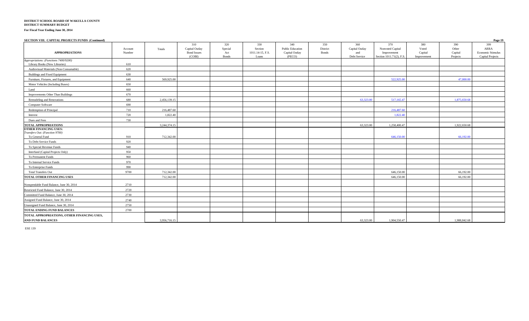#### **DISTRICT SCHOOL BOARD OF WAKULLA COUNTY DISTRICT SUMMARY BUDGET**

**For Fiscal Year Ending June 30, 2014**

| SECTION VIII. CAPITAL PROJECTS FUNDS (Continued)                                  |                   |              |                                                       |                                       |                                             |                                                     |                          |                                              |                                                                    |                                        |                                     | Page 19                                              |
|-----------------------------------------------------------------------------------|-------------------|--------------|-------------------------------------------------------|---------------------------------------|---------------------------------------------|-----------------------------------------------------|--------------------------|----------------------------------------------|--------------------------------------------------------------------|----------------------------------------|-------------------------------------|------------------------------------------------------|
| <b>APPROPRIATIONS</b>                                                             | Account<br>Number | Totals       | 310<br>Capital Outlay<br><b>Bond Issues</b><br>(COBI) | 320<br>Special<br>Act<br><b>Bonds</b> | 330<br>Section<br>1011.14-15, F.S.<br>Loans | 340<br>Public Education<br>Capital Outlay<br>(PECO) | 350<br>District<br>Bonds | 360<br>Capital Outlay<br>and<br>Debt Service | 370<br>Nonvoted Capital<br>Improvement<br>Section 1011.71(2), F.S. | 380<br>Voted<br>Capital<br>Improvement | 390<br>Other<br>Capital<br>Projects | 399<br>ARRA<br>Economic Stimulus<br>Capital Projects |
| Appropriations: (Functions 7400/9200)<br>Library Books (New Libraries)            | 610               |              |                                                       |                                       |                                             |                                                     |                          |                                              |                                                                    |                                        |                                     |                                                      |
| Audiovisual Materials (Non-Consumable)                                            | 620               |              |                                                       |                                       |                                             |                                                     |                          |                                              |                                                                    |                                        |                                     |                                                      |
| Buildings and Fixed Equipment                                                     | 630               |              |                                                       |                                       |                                             |                                                     |                          |                                              |                                                                    |                                        |                                     |                                                      |
| Furniture, Fixtures, and Equipment                                                | 640               | 569,925.00   |                                                       |                                       |                                             |                                                     |                          |                                              | 522,925.00                                                         |                                        | 47,000.00                           |                                                      |
| Motor Vehicles (Including Buses)                                                  | 650               |              |                                                       |                                       |                                             |                                                     |                          |                                              |                                                                    |                                        |                                     |                                                      |
| Land                                                                              | 660               |              |                                                       |                                       |                                             |                                                     |                          |                                              |                                                                    |                                        |                                     |                                                      |
| Improvements Other Than Buildings                                                 | 670               |              |                                                       |                                       |                                             |                                                     |                          |                                              |                                                                    |                                        |                                     |                                                      |
| Remodeling and Renovations                                                        | 680               | 2,456,139.15 |                                                       |                                       |                                             |                                                     |                          | 63,323.00                                    | 517,165.47                                                         |                                        | 1.875,650.68                        |                                                      |
| Computer Software                                                                 | 690               |              |                                                       |                                       |                                             |                                                     |                          |                                              |                                                                    |                                        |                                     |                                                      |
| Redemption of Principal                                                           | 710               | 216,487.60   |                                                       |                                       |                                             |                                                     |                          |                                              | 216,487.60                                                         |                                        |                                     |                                                      |
| Interest                                                                          | 720               | 1,822.40     |                                                       |                                       |                                             |                                                     |                          |                                              | 1,822.40                                                           |                                        |                                     |                                                      |
| Dues and Fees                                                                     | 730               |              |                                                       |                                       |                                             |                                                     |                          |                                              |                                                                    |                                        |                                     |                                                      |
| <b>TOTAL APPROPRIATIONS</b>                                                       |                   | 3,244,374.15 |                                                       |                                       |                                             |                                                     |                          | 63,323.00                                    | 1,258,400.47                                                       |                                        | 1,922,650.68                        |                                                      |
| <b>OTHER FINANCING USES:</b><br>Transfers Out: (Function 9700)<br>To General Fund | 910               | 712,342.00   |                                                       |                                       |                                             |                                                     |                          |                                              | 646,150.00                                                         |                                        | 66,192.00                           |                                                      |
| To Debt Service Funds                                                             | 920               |              |                                                       |                                       |                                             |                                                     |                          |                                              |                                                                    |                                        |                                     |                                                      |
| To Special Revenue Funds                                                          | 940               |              |                                                       |                                       |                                             |                                                     |                          |                                              |                                                                    |                                        |                                     |                                                      |
| Interfund (Capital Projects Only)                                                 | 950               |              |                                                       |                                       |                                             |                                                     |                          |                                              |                                                                    |                                        |                                     |                                                      |
| To Permanent Funds                                                                | 960               |              |                                                       |                                       |                                             |                                                     |                          |                                              |                                                                    |                                        |                                     |                                                      |
| To Internal Service Funds                                                         | 970               |              |                                                       |                                       |                                             |                                                     |                          |                                              |                                                                    |                                        |                                     |                                                      |
| To Enterprise Funds                                                               | 990               |              |                                                       |                                       |                                             |                                                     |                          |                                              |                                                                    |                                        |                                     |                                                      |
| <b>Total Transfers Out</b>                                                        | 9700              | 712,342.00   |                                                       |                                       |                                             |                                                     |                          |                                              | 646,150.00                                                         |                                        | 66,192.00                           |                                                      |
| TOTAL OTHER FINANCING USES                                                        |                   | 712,342.00   |                                                       |                                       |                                             |                                                     |                          |                                              | 646,150.00                                                         |                                        | 66,192.00                           |                                                      |
| Nonspendable Fund Balance, June 30, 2014                                          | 2710              |              |                                                       |                                       |                                             |                                                     |                          |                                              |                                                                    |                                        |                                     |                                                      |
| Restricted Fund Balance, June 30, 2014                                            | 2720              |              |                                                       |                                       |                                             |                                                     |                          |                                              |                                                                    |                                        |                                     |                                                      |
| Committed Fund Balance, June 30, 2014                                             | 2730              |              |                                                       |                                       |                                             |                                                     |                          |                                              |                                                                    |                                        |                                     |                                                      |
| Assigned Fund Balance, June 30, 2014                                              | 2740              |              |                                                       |                                       |                                             |                                                     |                          |                                              |                                                                    |                                        |                                     |                                                      |
| Unassigned Fund Balance, June 30, 2014                                            | 2750              |              |                                                       |                                       |                                             |                                                     |                          |                                              |                                                                    |                                        |                                     |                                                      |
| TOTAL ENDING FUND BALANCES                                                        | 2700              |              |                                                       |                                       |                                             |                                                     |                          |                                              |                                                                    |                                        |                                     |                                                      |
| TOTAL APPROPRIATIONS, OTHER FINANCING USES,<br><b>AND FUND BALANCES</b>           |                   | 3,956,716.15 |                                                       |                                       |                                             |                                                     |                          | 63.323.00                                    | 1.904.550.47                                                       |                                        | 1.988.842.68                        |                                                      |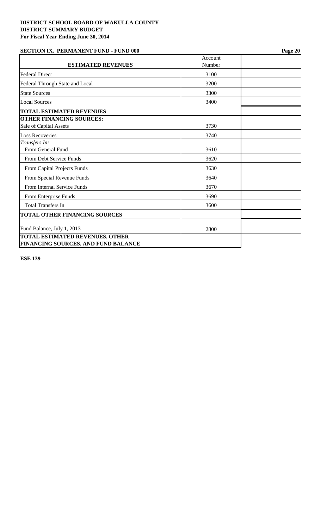# **SECTION IX. PERMANENT FUND - FUND 000 Page 20**

|                                                                                      | Account |  |
|--------------------------------------------------------------------------------------|---------|--|
| <b>ESTIMATED REVENUES</b>                                                            | Number  |  |
| <b>Federal Direct</b>                                                                | 3100    |  |
| Federal Through State and Local                                                      | 3200    |  |
| <b>State Sources</b>                                                                 | 3300    |  |
| <b>Local Sources</b>                                                                 | 3400    |  |
| <b>TOTAL ESTIMATED REVENUES</b>                                                      |         |  |
| <b>OTHER FINANCING SOURCES:</b>                                                      |         |  |
| Sale of Capital Assets                                                               | 3730    |  |
| <b>Loss Recoveries</b>                                                               | 3740    |  |
| Transfers In:                                                                        |         |  |
| From General Fund                                                                    | 3610    |  |
| <b>From Debt Service Funds</b>                                                       | 3620    |  |
| From Capital Projects Funds                                                          | 3630    |  |
| From Special Revenue Funds                                                           | 3640    |  |
| From Internal Service Funds                                                          | 3670    |  |
| From Enterprise Funds                                                                | 3690    |  |
| <b>Total Transfers In</b>                                                            | 3600    |  |
| TOTAL OTHER FINANCING SOURCES                                                        |         |  |
| Fund Balance, July 1, 2013                                                           | 2800    |  |
| <b>TOTAL ESTIMATED REVENUES, OTHER</b><br><b>FINANCING SOURCES, AND FUND BALANCE</b> |         |  |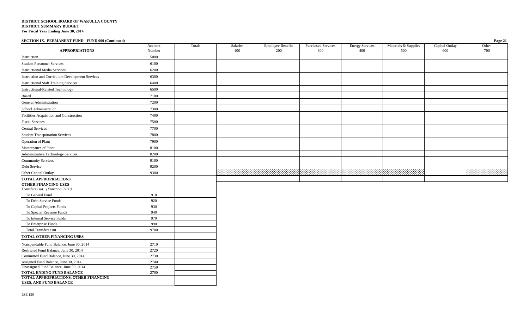| SECTION IX. PERMANENT FUND - FUND 000 (Continued)             |         |        |          |                          |                           |                        |                      |                | Page 21 |
|---------------------------------------------------------------|---------|--------|----------|--------------------------|---------------------------|------------------------|----------------------|----------------|---------|
|                                                               | Account | Totals | Salaries | <b>Employee Benefits</b> | <b>Purchased Services</b> | <b>Energy Services</b> | Materials & Supplies | Capital Outlay | Other   |
| <b>APPROPRIATIONS</b>                                         | Number  |        | 100      | 200                      | 300                       | 400                    | 500                  | 600            | 700     |
| Instruction                                                   | 5000    |        |          |                          |                           |                        |                      |                |         |
| <b>Student Personnel Services</b>                             | 6100    |        |          |                          |                           |                        |                      |                |         |
| <b>Instructional Media Services</b>                           | 6200    |        |          |                          |                           |                        |                      |                |         |
| Instruction and Curriculum Development Services               | 6300    |        |          |                          |                           |                        |                      |                |         |
| <b>Instructional Staff Training Services</b>                  | 6400    |        |          |                          |                           |                        |                      |                |         |
| Instructional-Related Technology                              | 6500    |        |          |                          |                           |                        |                      |                |         |
| Board                                                         | 7100    |        |          |                          |                           |                        |                      |                |         |
| General Administration                                        | 7200    |        |          |                          |                           |                        |                      |                |         |
| School Administration                                         | 7300    |        |          |                          |                           |                        |                      |                |         |
| Facilities Acquisition and Construction                       | 7400    |        |          |                          |                           |                        |                      |                |         |
| <b>Fiscal Services</b>                                        | 7500    |        |          |                          |                           |                        |                      |                |         |
| <b>Central Services</b>                                       | 7700    |        |          |                          |                           |                        |                      |                |         |
| <b>Student Transportation Services</b>                        | 7800    |        |          |                          |                           |                        |                      |                |         |
| Operation of Plant                                            | 7900    |        |          |                          |                           |                        |                      |                |         |
| Maintenance of Plant                                          | 8100    |        |          |                          |                           |                        |                      |                |         |
| Administrative Technology Services                            | 8200    |        |          |                          |                           |                        |                      |                |         |
| <b>Community Services</b>                                     | 9100    |        |          |                          |                           |                        |                      |                |         |
| Debt Service                                                  | 9200    |        |          |                          |                           |                        |                      |                |         |
| Other Capital Outlay                                          | 9300    |        |          |                          |                           |                        |                      |                |         |
| <b>TOTAL APPROPRIATIONS</b>                                   |         |        |          |                          |                           |                        |                      |                |         |
| <b>OTHER FINANCING USES</b><br>Transfers Out: (Function 9700) |         |        |          |                          |                           |                        |                      |                |         |
| To General Fund                                               | 910     |        |          |                          |                           |                        |                      |                |         |
| To Debt Service Funds                                         | 920     |        |          |                          |                           |                        |                      |                |         |
| To Capital Projects Funds                                     | 930     |        |          |                          |                           |                        |                      |                |         |
| To Special Revenue Funds                                      | 940     |        |          |                          |                           |                        |                      |                |         |
| To Internal Service Funds                                     | 970     |        |          |                          |                           |                        |                      |                |         |
| To Enterprise Funds                                           | 990     |        |          |                          |                           |                        |                      |                |         |
| <b>Total Transfers Out</b>                                    | 9700    |        |          |                          |                           |                        |                      |                |         |
| <b>TOTAL OTHER FINANCING USES</b>                             |         |        |          |                          |                           |                        |                      |                |         |
| Nonspendable Fund Balance, June 30, 2014                      | 2710    |        |          |                          |                           |                        |                      |                |         |
| Restricted Fund Balance, June 30, 2014                        | 2720    |        |          |                          |                           |                        |                      |                |         |
| Committed Fund Balance, June 30, 2014                         | 2730    |        |          |                          |                           |                        |                      |                |         |
| Assigned Fund Balance, June 30, 2014                          | 2740    |        |          |                          |                           |                        |                      |                |         |
| Unassigned Fund Balance, June 30, 2014                        | 2750    |        |          |                          |                           |                        |                      |                |         |
| TOTAL ENDING FUND BALANCE                                     | 2700    |        |          |                          |                           |                        |                      |                |         |
| TOTAL APPROPRIATIONS, OTHER FINANCING                         |         |        |          |                          |                           |                        |                      |                |         |

**USES, AND FUND BALANCE**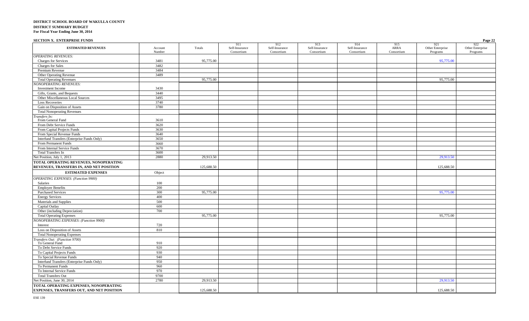| <b>SECTION X. ENTERPRISE FUNDS</b>            |                   |            |                                     |                                     |                                     |                                     |                                  |                                     | Page 22                             |
|-----------------------------------------------|-------------------|------------|-------------------------------------|-------------------------------------|-------------------------------------|-------------------------------------|----------------------------------|-------------------------------------|-------------------------------------|
| <b>ESTIMATED REVENUES</b>                     | Account<br>Number | Totals     | 911<br>Self-Insurance<br>Consortium | 912<br>Self-Insurance<br>Consortium | 913<br>Self-Insurance<br>Consortium | 914<br>Self-Insurance<br>Consortium | 915<br><b>ARRA</b><br>Consortium | 921<br>Other Enterprise<br>Programs | 922<br>Other Enterprise<br>Programs |
| <b>OPERATING REVENUES:</b>                    |                   |            |                                     |                                     |                                     |                                     |                                  |                                     |                                     |
| <b>Charges for Services</b>                   | 3481              | 95,775.00  |                                     |                                     |                                     |                                     |                                  | 95,775.00                           |                                     |
| Charges for Sales                             | 3482              |            |                                     |                                     |                                     |                                     |                                  |                                     |                                     |
| Premium Revenue                               | 3484              |            |                                     |                                     |                                     |                                     |                                  |                                     |                                     |
| Other Operating Revenue                       | 3489              |            |                                     |                                     |                                     |                                     |                                  |                                     |                                     |
| <b>Total Operating Revenues</b>               |                   | 95,775.00  |                                     |                                     |                                     |                                     |                                  | 95,775.00                           |                                     |
| <b>IONOPERATING REVENUES:</b>                 |                   |            |                                     |                                     |                                     |                                     |                                  |                                     |                                     |
| Investment Income                             | 3430              |            |                                     |                                     |                                     |                                     |                                  |                                     |                                     |
| Gifts, Grants, and Bequests                   | 3440              |            |                                     |                                     |                                     |                                     |                                  |                                     |                                     |
| Other Miscellaneous Local Sources             | 3495              |            |                                     |                                     |                                     |                                     |                                  |                                     |                                     |
| <b>Loss Recoveries</b>                        | 3740              |            |                                     |                                     |                                     |                                     |                                  |                                     |                                     |
| Gain on Disposition of Assets                 | 3780              |            |                                     |                                     |                                     |                                     |                                  |                                     |                                     |
| <b>Total Nonoperating Revenues</b>            |                   |            |                                     |                                     |                                     |                                     |                                  |                                     |                                     |
| ransfers In:                                  |                   |            |                                     |                                     |                                     |                                     |                                  |                                     |                                     |
| From General Fund                             | 3610              |            |                                     |                                     |                                     |                                     |                                  |                                     |                                     |
| From Debt Service Funds                       | 3620              |            |                                     |                                     |                                     |                                     |                                  |                                     |                                     |
| From Capital Projects Funds                   | 3630              |            |                                     |                                     |                                     |                                     |                                  |                                     |                                     |
| From Special Revenue Funds                    | 3640              |            |                                     |                                     |                                     |                                     |                                  |                                     |                                     |
| Interfund Transfers (Enterprise Funds Only)   | 3650              |            |                                     |                                     |                                     |                                     |                                  |                                     |                                     |
| From Permanent Funds                          | 3660              |            |                                     |                                     |                                     |                                     |                                  |                                     |                                     |
| From Internal Service Funds                   | 3670              |            |                                     |                                     |                                     |                                     |                                  |                                     |                                     |
| <b>Total Transfers In</b>                     | 3600              |            |                                     |                                     |                                     |                                     |                                  |                                     |                                     |
| Net Position, July 1, 2013                    | 2880              | 29,913.50  |                                     |                                     |                                     |                                     |                                  | 29,913.50                           |                                     |
| TOTAL OPERATING REVENUES, NONOPERATING        |                   |            |                                     |                                     |                                     |                                     |                                  |                                     |                                     |
| REVENUES, TRANSFERS IN, AND NET POSITION      |                   | 125,688.50 |                                     |                                     |                                     |                                     |                                  | 125,688.50                          |                                     |
| <b>ESTIMATED EXPENSES</b>                     | Object            |            |                                     |                                     |                                     |                                     |                                  |                                     |                                     |
| <b>OPERATING EXPENSES:</b> (Function 9900)    |                   |            |                                     |                                     |                                     |                                     |                                  |                                     |                                     |
| Salaries                                      | 100               |            |                                     |                                     |                                     |                                     |                                  |                                     |                                     |
| <b>Employee Benefits</b>                      | 200               |            |                                     |                                     |                                     |                                     |                                  |                                     |                                     |
| <b>Purchased Services</b>                     | 300               | 95,775.00  |                                     |                                     |                                     |                                     |                                  | 95,775.00                           |                                     |
| <b>Energy Services</b>                        | 400               |            |                                     |                                     |                                     |                                     |                                  |                                     |                                     |
| Materials and Supplies                        | 500               |            |                                     |                                     |                                     |                                     |                                  |                                     |                                     |
| Capital Outlay                                | 600               |            |                                     |                                     |                                     |                                     |                                  |                                     |                                     |
| Other (including Depreciation)                | 700               |            |                                     |                                     |                                     |                                     |                                  |                                     |                                     |
| <b>Total Operating Expenses</b>               |                   | 95,775.00  |                                     |                                     |                                     |                                     |                                  | 95,775.00                           |                                     |
| <b>IONOPERATING EXPENSES: (Function 9900)</b> |                   |            |                                     |                                     |                                     |                                     |                                  |                                     |                                     |
| Interest                                      | 720               |            |                                     |                                     |                                     |                                     |                                  |                                     |                                     |
| Loss on Disposition of Assets                 | 810               |            |                                     |                                     |                                     |                                     |                                  |                                     |                                     |
| <b>Total Nonoperating Expenses</b>            |                   |            |                                     |                                     |                                     |                                     |                                  |                                     |                                     |
| Transfers Out: (Function 9700)                |                   |            |                                     |                                     |                                     |                                     |                                  |                                     |                                     |
| To General Fund                               | 910               |            |                                     |                                     |                                     |                                     |                                  |                                     |                                     |
| To Debt Service Funds                         | 920               |            |                                     |                                     |                                     |                                     |                                  |                                     |                                     |
| To Capital Projects Funds                     | 930               |            |                                     |                                     |                                     |                                     |                                  |                                     |                                     |
| To Special Revenue Funds                      | 940               |            |                                     |                                     |                                     |                                     |                                  |                                     |                                     |
| Interfund Transfers (Enterprise Funds Only)   | 950               |            |                                     |                                     |                                     |                                     |                                  |                                     |                                     |
| To Permanent Funds                            | 960               |            |                                     |                                     |                                     |                                     |                                  |                                     |                                     |
| To Internal Service Funds                     | 970               |            |                                     |                                     |                                     |                                     |                                  |                                     |                                     |
| <b>Total Transfers Out</b>                    | 9700              |            |                                     |                                     |                                     |                                     |                                  |                                     |                                     |
| Net Position, June 30, 2014                   | 2780              | 29,913.50  |                                     |                                     |                                     |                                     |                                  | 29,913.50                           |                                     |
| TOTAL OPERATING EXPENSES, NONOPERATING        |                   |            |                                     |                                     |                                     |                                     |                                  |                                     |                                     |
| EXPENSES, TRANSFERS OUT, AND NET POSITION     |                   | 125,688.50 |                                     |                                     |                                     |                                     |                                  | 125,688.50                          |                                     |
|                                               |                   |            |                                     |                                     |                                     |                                     |                                  |                                     |                                     |